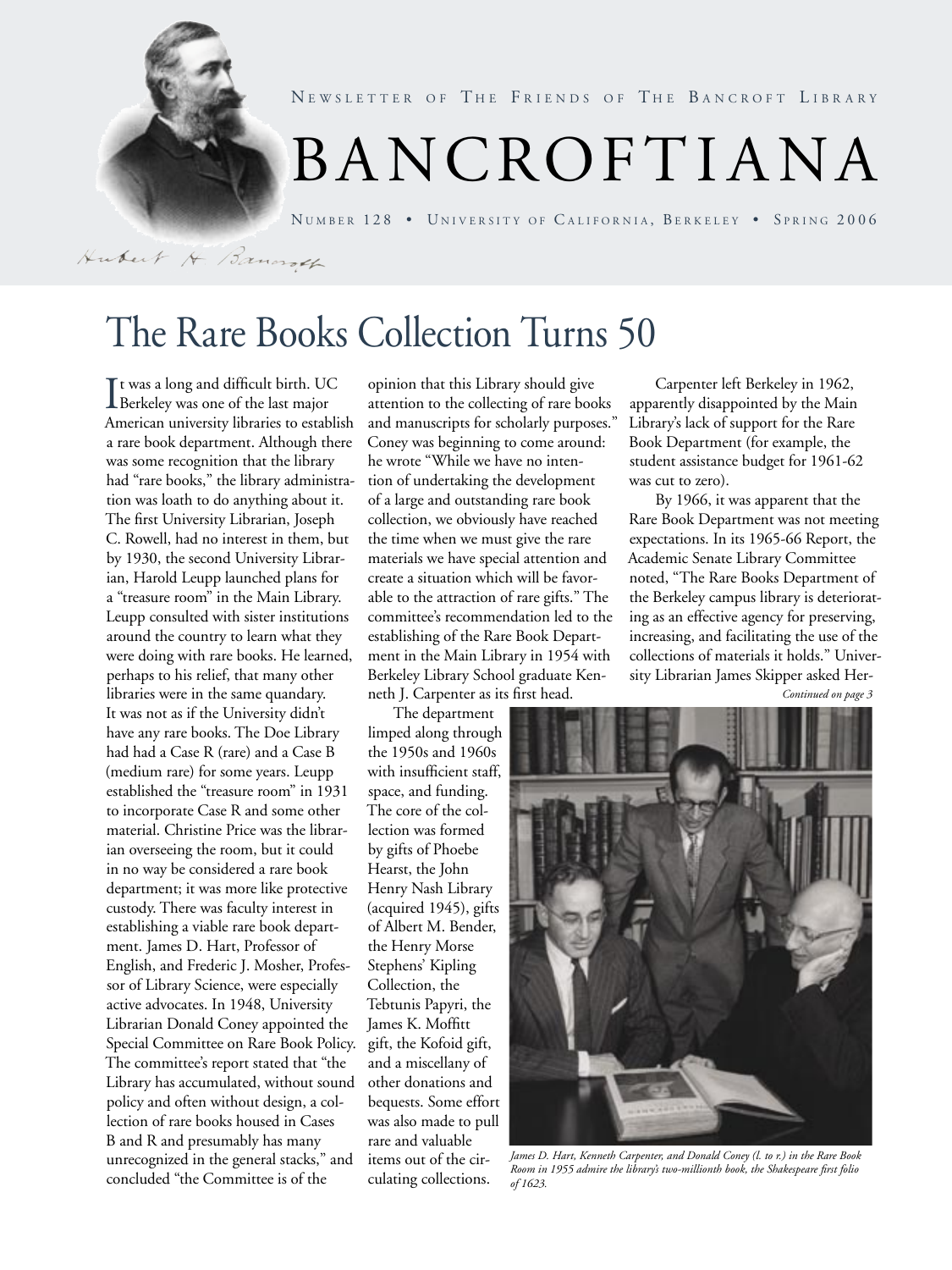

NEWSLETTER OF THE FRIENDS OF THE BANCROFT LIBRARY

# BANCROF T I ANA

NUMBER 128 • UNIVERSITY OF CALIFORNIA, BERKELEY • SPRING 2006

Hubert H. Banaroch

# The Rare Books Collection Turns 50

It was a long and difficult birth. UC<br>Berkeley was one of the last major Berkeley was one of the last major American university libraries to establish a rare book department. Although there was some recognition that the library had "rare books," the library administration was loath to do anything about it. The first University Librarian, Joseph C. Rowell, had no interest in them, but by 1930, the second University Librarian, Harold Leupp launched plans for a "treasure room" in the Main Library. Leupp consulted with sister institutions around the country to learn what they were doing with rare books. He learned, perhaps to his relief, that many other libraries were in the same quandary. It was not as if the University didn't have any rare books. The Doe Library had had a Case R (rare) and a Case B (medium rare) for some years. Leupp established the "treasure room" in 1931 to incorporate Case R and some other material. Christine Price was the librarian overseeing the room, but it could in no way be considered a rare book department; it was more like protective custody. There was faculty interest in establishing a viable rare book department. James D. Hart, Professor of English, and Frederic J. Mosher, Professor of Library Science, were especially active advocates. In 1948, University Librarian Donald Coney appointed the Special Committee on Rare Book Policy. The committee's report stated that "the Library has accumulated, without sound policy and often without design, a collection of rare books housed in Cases B and R and presumably has many unrecognized in the general stacks," and concluded "the Committee is of the

opinion that this Library should give attention to the collecting of rare books and manuscripts for scholarly purposes." Coney was beginning to come around: he wrote "While we have no intention of undertaking the development of a large and outstanding rare book collection, we obviously have reached the time when we must give the rare materials we have special attention and create a situation which will be favorable to the attraction of rare gifts." The committee's recommendation led to the establishing of the Rare Book Department in the Main Library in 1954 with Berkeley Library School graduate Kenneth J. Carpenter as its first head.

The department limped along through the 1950s and 1960s with insufficient staff, space, and funding. The core of the collection was formed by gifts of Phoebe Hearst, the John Henry Nash Library (acquired 1945), gifts of Albert M. Bender, the Henry Morse Stephens' Kipling Collection, the Tebtunis Papyri, the James K. Moffitt gift, the Kofoid gift, and a miscellany of other donations and bequests. Some effort was also made to pull rare and valuable items out of the circulating collections.

Carpenter left Berkeley in 1962, apparently disappointed by the Main Library's lack of support for the Rare Book Department (for example, the student assistance budget for 1961-62 was cut to zero).

By 1966, it was apparent that the Rare Book Department was not meeting expectations. In its 1965-66 Report, the Academic Senate Library Committee noted, "The Rare Books Department of the Berkeley campus library is deteriorating as an effective agency for preserving, increasing, and facilitating the use of the collections of materials it holds." University Librarian James Skipper asked Her-

*Continued on page 3*



*James D. Hart, Kenneth Carpenter, and Donald Coney (l. to r.) in the Rare Book Room in 1955 admire the library's two-millionth book, the Shakespeare first folio of 1623.*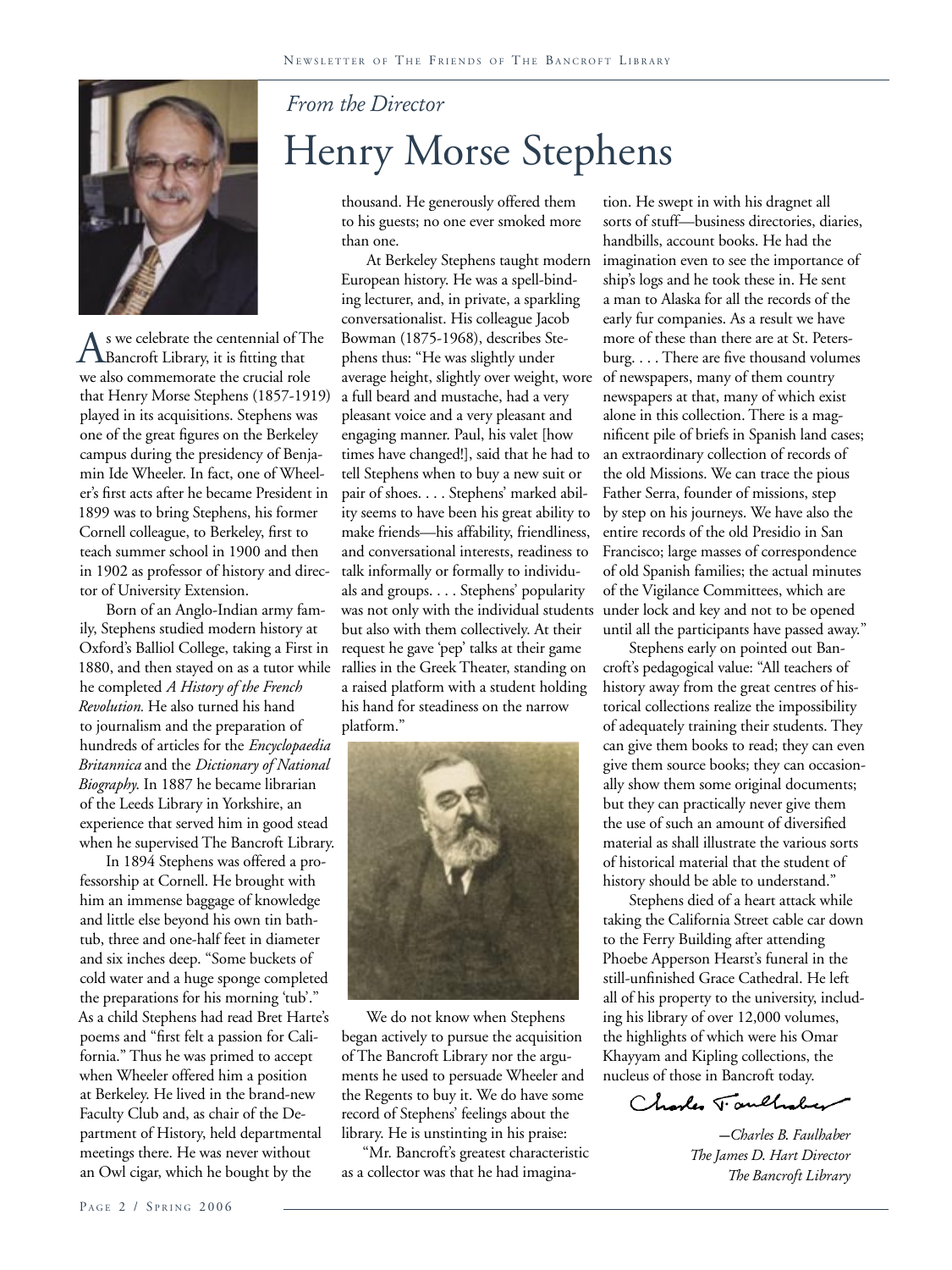

As we celebrate the centennial of The Bancroft Library, it is fitting that we also commemorate the crucial role that Henry Morse Stephens (1857-1919) played in its acquisitions. Stephens was one of the great figures on the Berkeley campus during the presidency of Benjamin Ide Wheeler. In fact, one of Wheeler's first acts after he became President in 1899 was to bring Stephens, his former Cornell colleague, to Berkeley, first to teach summer school in 1900 and then in 1902 as professor of history and director of University Extension.

Born of an Anglo-Indian army family, Stephens studied modern history at Oxford's Balliol College, taking a First in 1880, and then stayed on as a tutor while he completed *A History of the French Revolution.* He also turned his hand to journalism and the preparation of hundreds of articles for the *Encyclopaedia Britannica* and the *Dictionary of National Biography*. In 1887 he became librarian of the Leeds Library in Yorkshire, an experience that served him in good stead when he supervised The Bancroft Library.

In 1894 Stephens was offered a professorship at Cornell. He brought with him an immense baggage of knowledge and little else beyond his own tin bathtub, three and one-half feet in diameter and six inches deep. "Some buckets of cold water and a huge sponge completed the preparations for his morning 'tub'." As a child Stephens had read Bret Harte's poems and "first felt a passion for California." Thus he was primed to accept when Wheeler offered him a position at Berkeley. He lived in the brand-new Faculty Club and, as chair of the Department of History, held departmental meetings there. He was never without an Owl cigar, which he bought by the

## *From the Director* Henry Morse Stephens

thousand. He generously offered them to his guests; no one ever smoked more than one.

At Berkeley Stephens taught modern European history. He was a spell-binding lecturer, and, in private, a sparkling conversationalist. His colleague Jacob Bowman (1875-1968), describes Stephens thus: "He was slightly under average height, slightly over weight, wore a full beard and mustache, had a very pleasant voice and a very pleasant and engaging manner. Paul, his valet [how times have changed!], said that he had to tell Stephens when to buy a new suit or pair of shoes. . . . Stephens' marked ability seems to have been his great ability to make friends—his affability, friendliness, and conversational interests, readiness to talk informally or formally to individuals and groups. . . . Stephens' popularity was not only with the individual students but also with them collectively. At their request he gave 'pep' talks at their game rallies in the Greek Theater, standing on a raised platform with a student holding his hand for steadiness on the narrow platform."



We do not know when Stephens began actively to pursue the acquisition of The Bancroft Library nor the arguments he used to persuade Wheeler and the Regents to buy it. We do have some record of Stephens' feelings about the library. He is unstinting in his praise:

"Mr. Bancroft's greatest characteristic as a collector was that he had imagina-

tion. He swept in with his dragnet all sorts of stuff—business directories, diaries, handbills, account books. He had the imagination even to see the importance of ship's logs and he took these in. He sent a man to Alaska for all the records of the early fur companies. As a result we have more of these than there are at St. Petersburg. . . . There are five thousand volumes of newspapers, many of them country newspapers at that, many of which exist alone in this collection. There is a magnificent pile of briefs in Spanish land cases; an extraordinary collection of records of the old Missions. We can trace the pious Father Serra, founder of missions, step by step on his journeys. We have also the entire records of the old Presidio in San Francisco; large masses of correspondence of old Spanish families; the actual minutes of the Vigilance Committees, which are under lock and key and not to be opened until all the participants have passed away."

Stephens early on pointed out Bancroft's pedagogical value: "All teachers of history away from the great centres of historical collections realize the impossibility of adequately training their students. They can give them books to read; they can even give them source books; they can occasionally show them some original documents; but they can practically never give them the use of such an amount of diversified material as shall illustrate the various sorts of historical material that the student of history should be able to understand."

Stephens died of a heart attack while taking the California Street cable car down to the Ferry Building after attending Phoebe Apperson Hearst's funeral in the still-unfinished Grace Cathedral. He left all of his property to the university, including his library of over 12,000 volumes, the highlights of which were his Omar Khayyam and Kipling collections, the nucleus of those in Bancroft today.

Charles Taulhaber

*—Charles B. Faulhaber The James D. Hart Director The Bancroft Library*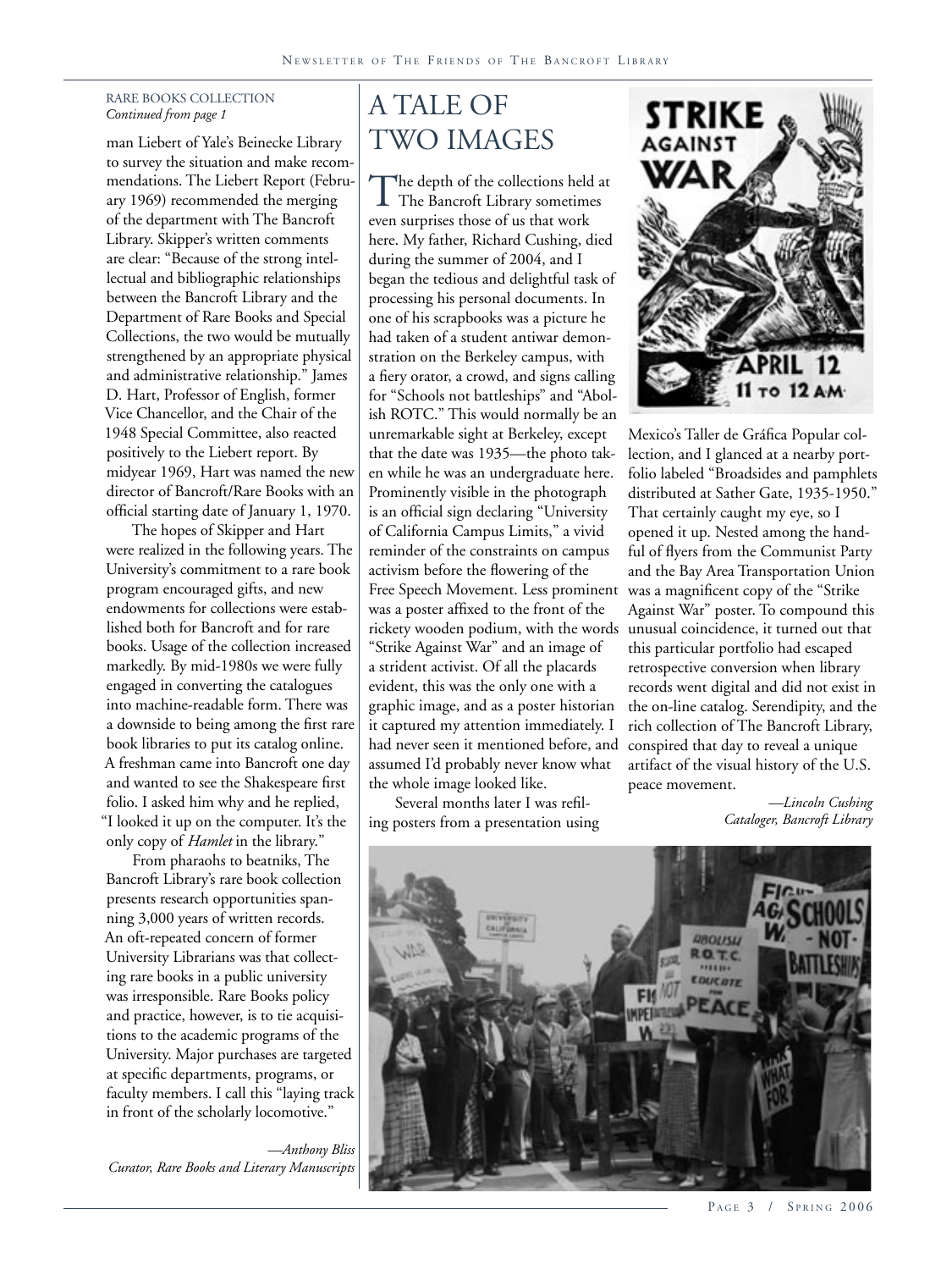#### RARE BOOKS COLLECTION *Continued from page 1* A TALE OF

man Liebert of Yale's Beinecke Library to survey the situation and make recommendations. The Liebert Report (February 1969) recommended the merging of the department with The Bancroft Library. Skipper's written comments are clear: "Because of the strong intellectual and bibliographic relationships between the Bancroft Library and the Department of Rare Books and Special Collections, the two would be mutually strengthened by an appropriate physical and administrative relationship." James D. Hart, Professor of English, former Vice Chancellor, and the Chair of the 1948 Special Committee, also reacted positively to the Liebert report. By midyear 1969, Hart was named the new director of Bancroft/Rare Books with an official starting date of January 1, 1970.

The hopes of Skipper and Hart were realized in the following years. The University's commitment to a rare book program encouraged gifts, and new endowments for collections were established both for Bancroft and for rare books. Usage of the collection increased markedly. By mid-1980s we were fully engaged in converting the catalogues into machine-readable form. There was a downside to being among the first rare book libraries to put its catalog online. A freshman came into Bancroft one day and wanted to see the Shakespeare first folio. I asked him why and he replied, "I looked it up on the computer. It's the only copy of *Hamlet* in the library."

From pharaohs to beatniks, The Bancroft Library's rare book collection presents research opportunities spanning 3,000 years of written records. An oft-repeated concern of former University Librarians was that collecting rare books in a public university was irresponsible. Rare Books policy and practice, however, is to tie acquisitions to the academic programs of the University. Major purchases are targeted at specific departments, programs, or faculty members. I call this "laying track in front of the scholarly locomotive."

*—Anthony Bliss Curator, Rare Books and Literary Manuscripts*

# TWO IMAGES

The depth of the collections held at The Bancroft Library sometimes even surprises those of us that work here. My father, Richard Cushing, died during the summer of 2004, and I began the tedious and delightful task of processing his personal documents. In one of his scrapbooks was a picture he had taken of a student antiwar demonstration on the Berkeley campus, with a fiery orator, a crowd, and signs calling for "Schools not battleships" and "Abolish ROTC." This would normally be an unremarkable sight at Berkeley, except that the date was 1935—the photo taken while he was an undergraduate here. Prominently visible in the photograph is an official sign declaring "University of California Campus Limits," a vivid reminder of the constraints on campus activism before the flowering of the Free Speech Movement. Less prominent was a poster affixed to the front of the rickety wooden podium, with the words unusual coincidence, it turned out that "Strike Against War" and an image of a strident activist. Of all the placards evident, this was the only one with a graphic image, and as a poster historian it captured my attention immediately. I had never seen it mentioned before, and assumed I'd probably never know what the whole image looked like.

Several months later I was refiling posters from a presentation using



Mexico's Taller de Gráfica Popular collection, and I glanced at a nearby portfolio labeled "Broadsides and pamphlets distributed at Sather Gate, 1935-1950." That certainly caught my eye, so I opened it up. Nested among the handful of flyers from the Communist Party and the Bay Area Transportation Union was a magnificent copy of the "Strike Against War" poster. To compound this this particular portfolio had escaped retrospective conversion when library records went digital and did not exist in the on-line catalog. Serendipity, and the rich collection of The Bancroft Library, conspired that day to reveal a unique artifact of the visual history of the U.S. peace movement.

> *—Lincoln Cushing Cataloger, Bancroft Library*



PAGE 3 / SPRING 2006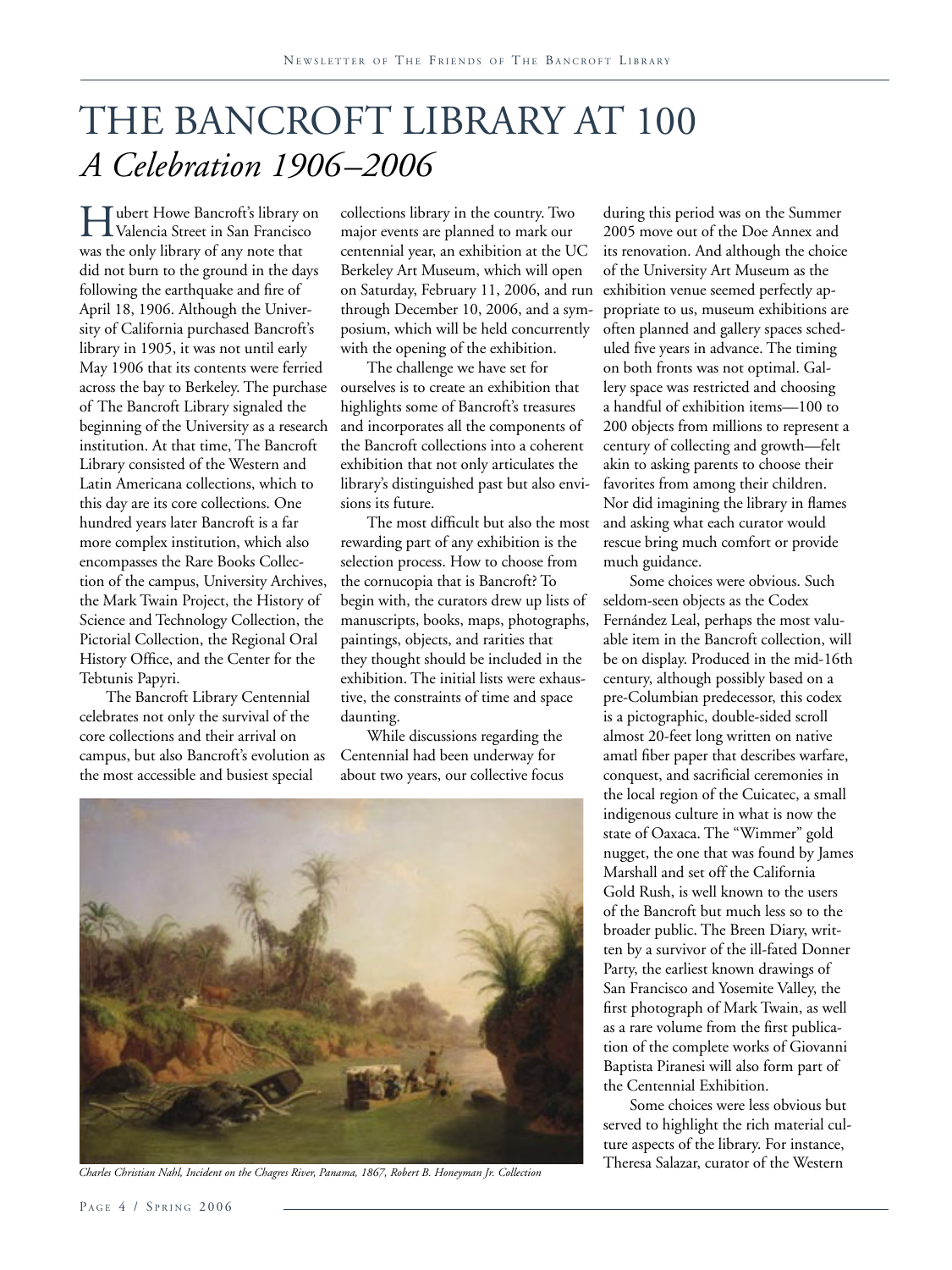## THE BANCROFT LIBRARY AT 100 *A Celebration 1906–2006*

Hubert Howe Bancroft's library on<br>Valencia Street in San Francisco was the only library of any note that did not burn to the ground in the days following the earthquake and fire of April 18, 1906. Although the University of California purchased Bancroft's library in 1905, it was not until early May 1906 that its contents were ferried across the bay to Berkeley. The purchase of The Bancroft Library signaled the beginning of the University as a research institution. At that time, The Bancroft Library consisted of the Western and Latin Americana collections, which to this day are its core collections. One hundred years later Bancroft is a far more complex institution, which also encompasses the Rare Books Collection of the campus, University Archives, the Mark Twain Project, the History of Science and Technology Collection, the Pictorial Collection, the Regional Oral History Office, and the Center for the Tebtunis Papyri.

The Bancroft Library Centennial celebrates not only the survival of the core collections and their arrival on campus, but also Bancroft's evolution as the most accessible and busiest special

collections library in the country. Two major events are planned to mark our centennial year, an exhibition at the UC Berkeley Art Museum, which will open on Saturday, February 11, 2006, and run exhibition venue seemed perfectly apthrough December 10, 2006, and a symposium, which will be held concurrently with the opening of the exhibition.

The challenge we have set for ourselves is to create an exhibition that highlights some of Bancroft's treasures and incorporates all the components of the Bancroft collections into a coherent exhibition that not only articulates the library's distinguished past but also envisions its future.

The most difficult but also the most rewarding part of any exhibition is the selection process. How to choose from the cornucopia that is Bancroft? To begin with, the curators drew up lists of manuscripts, books, maps, photographs, paintings, objects, and rarities that they thought should be included in the exhibition. The initial lists were exhaustive, the constraints of time and space daunting.

While discussions regarding the Centennial had been underway for about two years, our collective focus



*Charles Christian Nahl, Incident on the Chagres River, Panama, 1867, Robert B. Honeyman Jr. Collection*

during this period was on the Summer 2005 move out of the Doe Annex and its renovation. And although the choice of the University Art Museum as the propriate to us, museum exhibitions are often planned and gallery spaces scheduled five years in advance. The timing on both fronts was not optimal. Gallery space was restricted and choosing a handful of exhibition items—100 to 200 objects from millions to represent a century of collecting and growth—felt akin to asking parents to choose their favorites from among their children. Nor did imagining the library in flames and asking what each curator would rescue bring much comfort or provide much guidance.

Some choices were obvious. Such seldom-seen objects as the Codex Fernández Leal, perhaps the most valuable item in the Bancroft collection, will be on display. Produced in the mid-16th century, although possibly based on a pre-Columbian predecessor, this codex is a pictographic, double-sided scroll almost 20-feet long written on native amatl fiber paper that describes warfare, conquest, and sacrificial ceremonies in the local region of the Cuicatec, a small indigenous culture in what is now the state of Oaxaca. The "Wimmer" gold nugget, the one that was found by James Marshall and set off the California Gold Rush, is well known to the users of the Bancroft but much less so to the broader public. The Breen Diary, written by a survivor of the ill-fated Donner Party, the earliest known drawings of San Francisco and Yosemite Valley, the first photograph of Mark Twain, as well as a rare volume from the first publication of the complete works of Giovanni Baptista Piranesi will also form part of the Centennial Exhibition.

Some choices were less obvious but served to highlight the rich material culture aspects of the library. For instance, Theresa Salazar, curator of the Western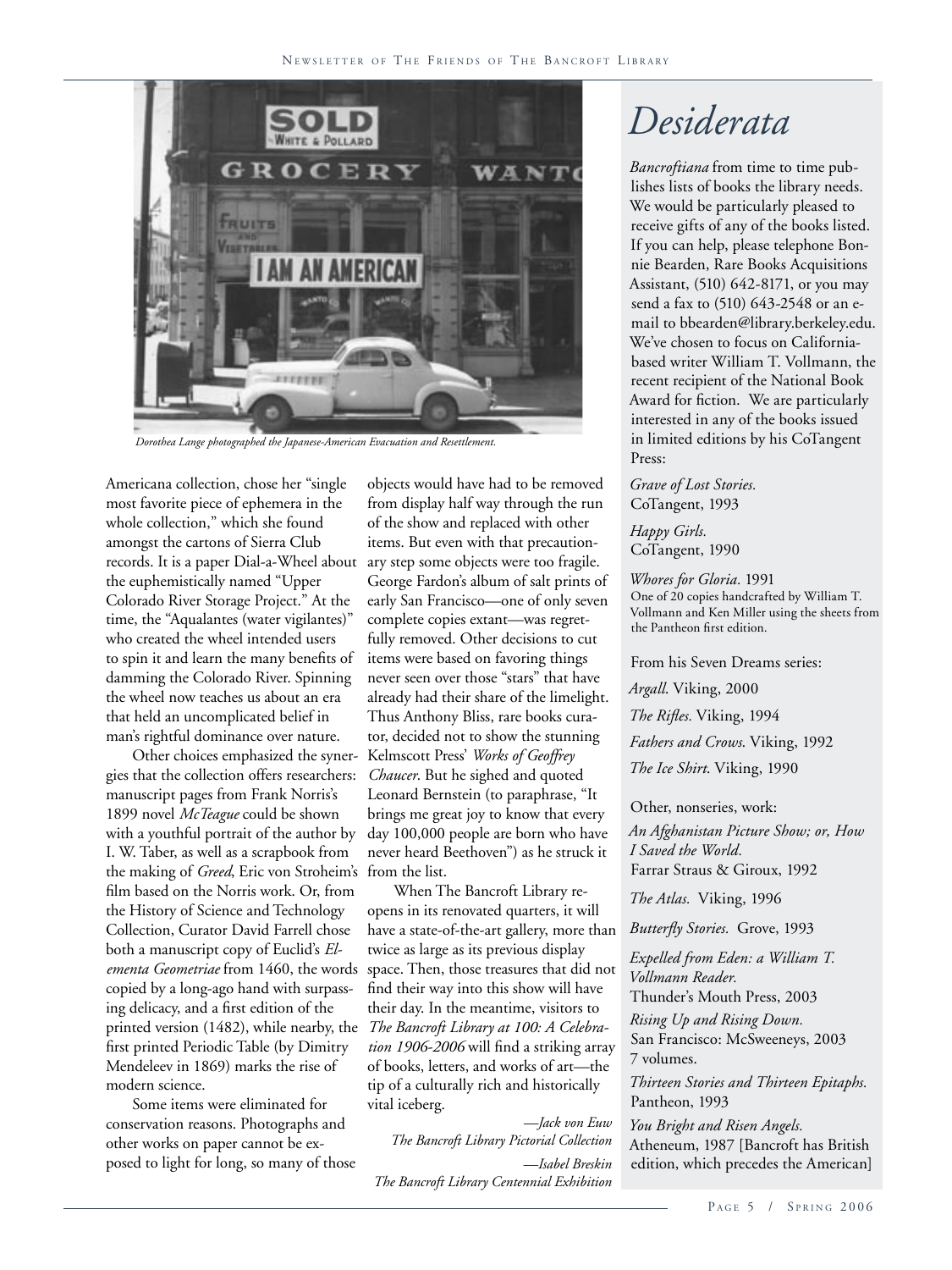

*Dorothea Lange photographed the Japanese-American Evacuation and Resettlement.*

Americana collection, chose her "single most favorite piece of ephemera in the whole collection," which she found amongst the cartons of Sierra Club records. It is a paper Dial-a-Wheel about the euphemistically named "Upper Colorado River Storage Project." At the time, the "Aqualantes (water vigilantes)" who created the wheel intended users to spin it and learn the many benefits of damming the Colorado River. Spinning the wheel now teaches us about an era that held an uncomplicated belief in man's rightful dominance over nature.

Other choices emphasized the synergies that the collection offers researchers: manuscript pages from Frank Norris's 1899 novel *McTeague* could be shown with a youthful portrait of the author by I. W. Taber, as well as a scrapbook from the making of *Greed*, Eric von Stroheim's film based on the Norris work. Or, from the History of Science and Technology Collection, Curator David Farrell chose both a manuscript copy of Euclid's *Elementa Geometriae* from 1460, the words copied by a long-ago hand with surpassing delicacy, and a first edition of the printed version (1482), while nearby, the first printed Periodic Table (by Dimitry Mendeleev in 1869) marks the rise of modern science.

Some items were eliminated for conservation reasons. Photographs and other works on paper cannot be exposed to light for long, so many of those

objects would have had to be removed from display half way through the run of the show and replaced with other items. But even with that precautionary step some objects were too fragile. George Fardon's album of salt prints of early San Francisco—one of only seven complete copies extant—was regretfully removed. Other decisions to cut items were based on favoring things never seen over those "stars" that have already had their share of the limelight. Thus Anthony Bliss, rare books curator, decided not to show the stunning Kelmscott Press' *Works of Geoffrey Chaucer*. But he sighed and quoted Leonard Bernstein (to paraphrase, "It brings me great joy to know that every day 100,000 people are born who have never heard Beethoven") as he struck it from the list.

When The Bancroft Library reopens in its renovated quarters, it will have a state-of-the-art gallery, more than twice as large as its previous display space. Then, those treasures that did not find their way into this show will have their day. In the meantime, visitors to *The Bancroft Library at 100: A Celebration 1906-2006* will find a striking array of books, letters, and works of art—the tip of a culturally rich and historically vital iceberg.

*—Jack von Euw The Bancroft Library Pictorial Collection —Isabel Breskin The Bancroft Library Centennial Exhibition*

## *Desiderata*

*Bancroftiana* from time to time publishes lists of books the library needs. We would be particularly pleased to receive gifts of any of the books listed. If you can help, please telephone Bonnie Bearden, Rare Books Acquisitions Assistant, (510) 642-8171, or you may send a fax to (510) 643-2548 or an email to bbearden@library.berkeley.edu. We've chosen to focus on Californiabased writer William T. Vollmann, the recent recipient of the National Book Award for fiction. We are particularly interested in any of the books issued in limited editions by his CoTangent Press:

*Grave of Lost Stories.* CoTangent, 1993

*Happy Girls.* CoTangent, 1990

*Whores for Gloria.* 1991 One of 20 copies handcrafted by William T. Vollmann and Ken Miller using the sheets from the Pantheon first edition.

From his Seven Dreams series:

*Argall*. Viking, 2000 *The Rifles.* Viking, 1994 *Fathers and Crows*. Viking, 1992 *The Ice Shirt*. Viking, 1990

Other, nonseries, work: *An Afghanistan Picture Show; or, How I Saved the World.* Farrar Straus & Giroux, 1992

*The Atlas.* Viking, 1996

*Butterfly Stories.* Grove, 1993

*Expelled from Eden: a William T. Vollmann Reader.*

Thunder's Mouth Press, 2003

*Rising Up and Rising Down.* San Francisco: McSweeneys, 2003 7 volumes.

*Thirteen Stories and Thirteen Epitaphs.* Pantheon, 1993

*You Bright and Risen Angels.* Atheneum, 1987 [Bancroft has British edition, which precedes the American]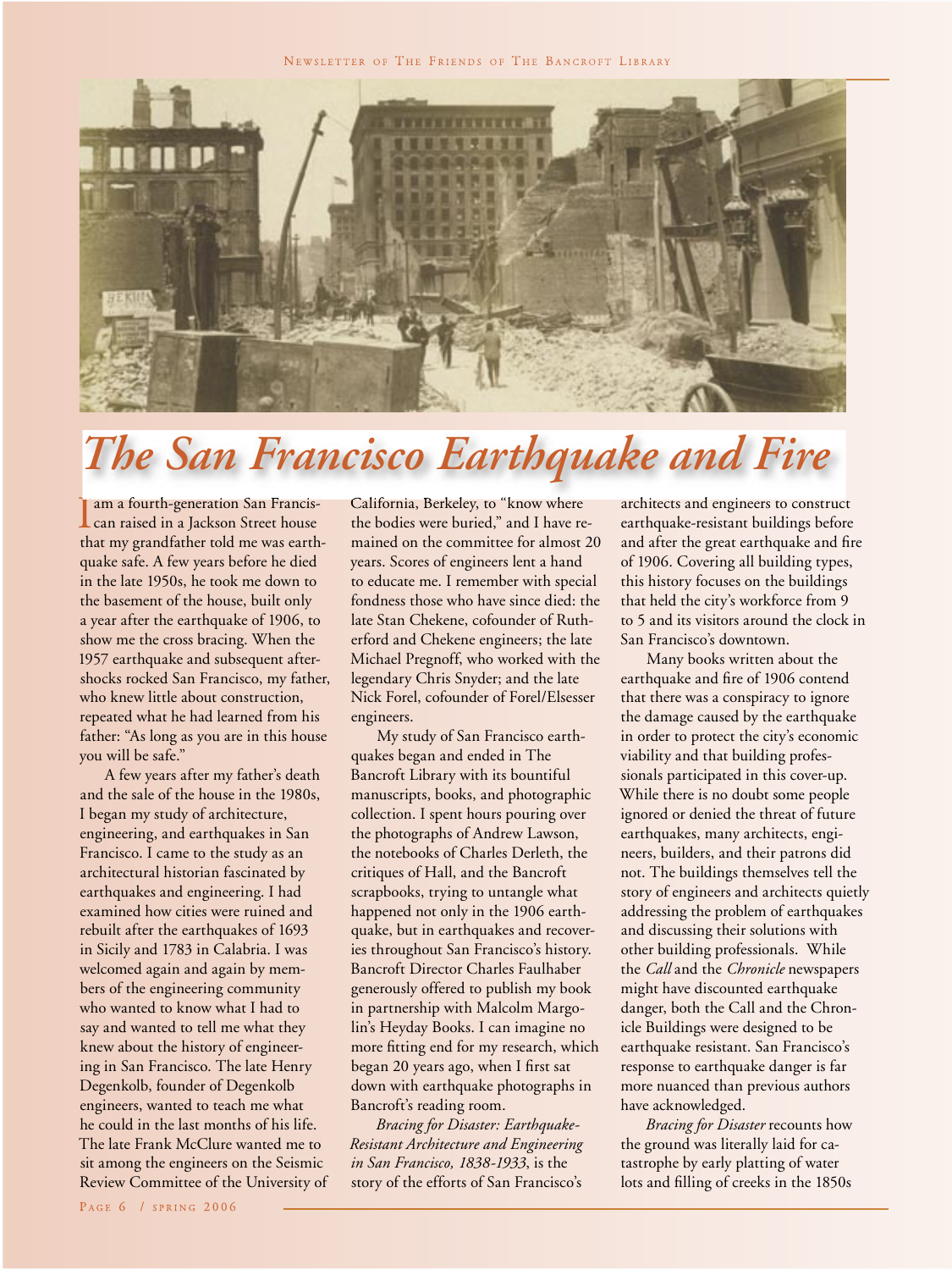NEWSLETTER OF THE FRIENDS OF THE BANCROFT LIBRARY



# Francis- *The San Francisco Earthquake and Fire*

**T** am a fourth-generation San Franciscan raised in a Jackson Street house that my grandfather told me was earthquake safe. A few years before he died in the late 1950s, he took me down to the basement of the house, built only a year after the earthquake of 1906, to show me the cross bracing. When the 1957 earthquake and subsequent aftershocks rocked San Francisco, my father, who knew little about construction, repeated what he had learned from his father: "As long as you are in this house you will be safe."

 $\begin{tabular}{l} \hline \text{am a fourth-generation} \\ \hline \text{can raised in a Jackson} \\ \hline \text{quake safe. A few years} \\ \hline \text{in the late 1950s, he too} \\ \hline \text{the basement of the hot} \\ \hline \text{a year after the earthqu} \\ \text{show me the cross brac11957 earthquake and su shocks rocket San Fran who knew little about c repeated what he had le father: "As long as you a you will be safe." A few years after m and the sale of the hours I began my study of arc engineering, and earthc Francis. I came to the architectural historian for the architecture, and the rate of the architecture in Sicily and 1783 in C; welcomed again and agbers of the engineering who wanted to know w say and wanted to tell n knew about the history in San Francisco$ A few years after my father's death and the sale of the house in the 1980s, I began my study of architecture, engineering, and earthquakes in San Francisco. I came to the study as an architectural historian fascinated by earthquakes and engineering. I had examined how cities were ruined and rebuilt after the earthquakes of 1693 in Sicily and 1783 in Calabria. I was welcomed again and again by members of the engineering community who wanted to know what I had to say and wanted to tell me what they knew about the history of engineering in San Francisco. The late Henry Degenkolb, founder of Degenkolb engineers, wanted to teach me what he could in the last months of his life. The late Frank McClure wanted me to sit among the engineers on the Seismic Review Committee of the University of

California, Berkeley, to "know where the bodies were buried," and I have remained on the committee for almost 20 years. Scores of engineers lent a hand to educate me. I remember with special fondness those who have since died: the late Stan Chekene, cofounder of Rutherford and Chekene engineers; the late Michael Pregnoff, who worked with the legendary Chris Snyder; and the late Nick Forel, cofounder of Forel/Elsesser engineers.

My study of San Francisco earthquakes began and ended in The Bancroft Library with its bountiful manuscripts, books, and photographic collection. I spent hours pouring over the photographs of Andrew Lawson, the notebooks of Charles Derleth, the critiques of Hall, and the Bancroft scrapbooks, trying to untangle what happened not only in the 1906 earthquake, but in earthquakes and recoveries throughout San Francisco's history. Bancroft Director Charles Faulhaber generously offered to publish my book in partnership with Malcolm Margolin's Heyday Books. I can imagine no more fitting end for my research, which began 20 years ago, when I first sat down with earthquake photographs in Bancroft's reading room.

*Bracing for Disaster: Earthquake-Resistant Architecture and Engineering in San Francisco, 1838-1933*, is the story of the efforts of San Francisco's

architects and engineers to construct earthquake-resistant buildings before and after the great earthquake and fire of 1906. Covering all building types, this history focuses on the buildings that held the city's workforce from 9 to 5 and its visitors around the clock in San Francisco's downtown.

Many books written about the earthquake and fire of 1906 contend that there was a conspiracy to ignore the damage caused by the earthquake in order to protect the city's economic viability and that building professionals participated in this cover-up. While there is no doubt some people ignored or denied the threat of future earthquakes, many architects, engineers, builders, and their patrons did not. The buildings themselves tell the story of engineers and architects quietly addressing the problem of earthquakes and discussing their solutions with other building professionals. While the *Call* and the *Chronicle* newspapers might have discounted earthquake danger, both the Call and the Chronicle Buildings were designed to be earthquake resistant. San Francisco's response to earthquake danger is far more nuanced than previous authors have acknowledged.

*Bracing for Disaster* recounts how the ground was literally laid for catastrophe by early platting of water lots and filling of creeks in the 1850s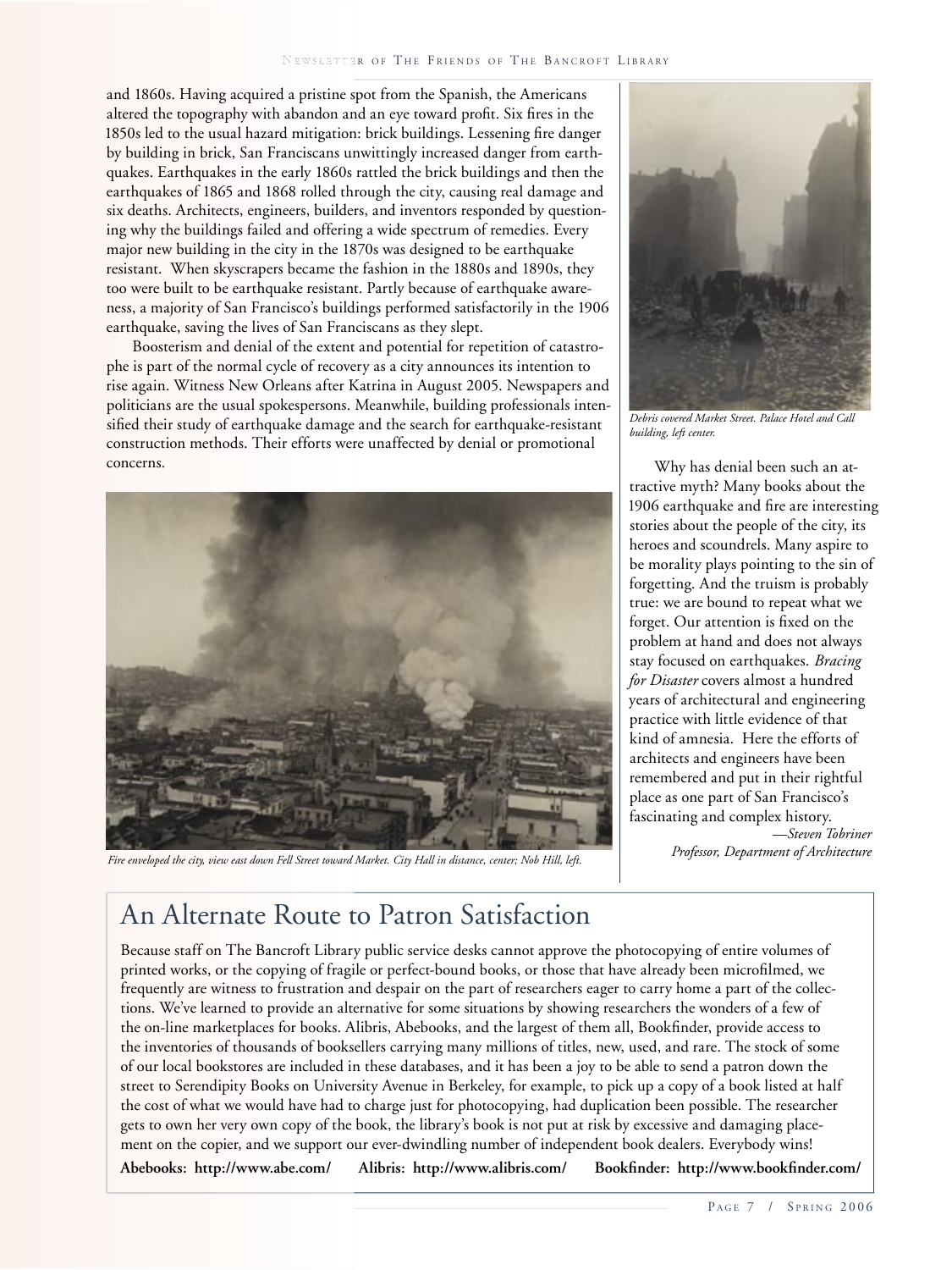and 1860s. Having acquired a pristine spot from the Spanish, the Americans altered the topography with abandon and an eye toward profit. Six fires in the 1850s led to the usual hazard mitigation: brick buildings. Lessening fire danger by building in brick, San Franciscans unwittingly increased danger from earthquakes. Earthquakes in the early 1860s rattled the brick buildings and then the earthquakes of 1865 and 1868 rolled through the city, causing real damage and six deaths. Architects, engineers, builders, and inventors responded by questioning why the buildings failed and offering a wide spectrum of remedies. Every major new building in the city in the 1870s was designed to be earthquake resistant. When skyscrapers became the fashion in the 1880s and 1890s, they too were built to be earthquake resistant. Partly because of earthquake awareness, a majority of San Francisco's buildings performed satisfactorily in the 1906 earthquake, saving the lives of San Franciscans as they slept.

Boosterism and denial of the extent and potential for repetition of catastrophe is part of the normal cycle of recovery as a city announces its intention to rise again. Witness New Orleans after Katrina in August 2005. Newspapers and politicians are the usual spokespersons. Meanwhile, building professionals intensified their study of earthquake damage and the search for earthquake-resistant construction methods. Their efforts were unaffected by denial or promotional concerns. Why has denial been such an at-



*Fire enveloped the city, view east down Fell Street toward Market. City Hall in distance, center; Nob Hill, left.*



*Debris covered Market Street. Palace Hotel and Call building, left center.*

tractive myth? Many books about the 1906 earthquake and fire are interesting stories about the people of the city, its heroes and scoundrels. Many aspire to be morality plays pointing to the sin of forgetting. And the truism is probably true: we are bound to repeat what we forget. Our attention is fixed on the problem at hand and does not always stay focused on earthquakes. *Bracing for Disaster* covers almost a hundred years of architectural and engineering practice with little evidence of that kind of amnesia. Here the efforts of architects and engineers have been remembered and put in their rightful place as one part of San Francisco's fascinating and complex history. *—Steven Tobriner*

*Professor, Department of Architecture*

## An Alternate Route to Patron Satisfaction

Because staff on The Bancroft Library public service desks cannot approve the photocopying of entire volumes of printed works, or the copying of fragile or perfect-bound books, or those that have already been microfilmed, we frequently are witness to frustration and despair on the part of researchers eager to carry home a part of the collections. We've learned to provide an alternative for some situations by showing researchers the wonders of a few of the on-line marketplaces for books. Alibris, Abebooks, and the largest of them all, Bookfinder, provide access to the inventories of thousands of booksellers carrying many millions of titles, new, used, and rare. The stock of some of our local bookstores are included in these databases, and it has been a joy to be able to send a patron down the street to Serendipity Books on University Avenue in Berkeley, for example, to pick up a copy of a book listed at half the cost of what we would have had to charge just for photocopying, had duplication been possible. The researcher gets to own her very own copy of the book, the library's book is not put at risk by excessive and damaging placement on the copier, and we support our ever-dwindling number of independent book dealers. Everybody wins!

Abebooks: http://www.abe.com/ Alibris: http://www.alibris.com/ Bookfinder: http://www.bookfinder.com/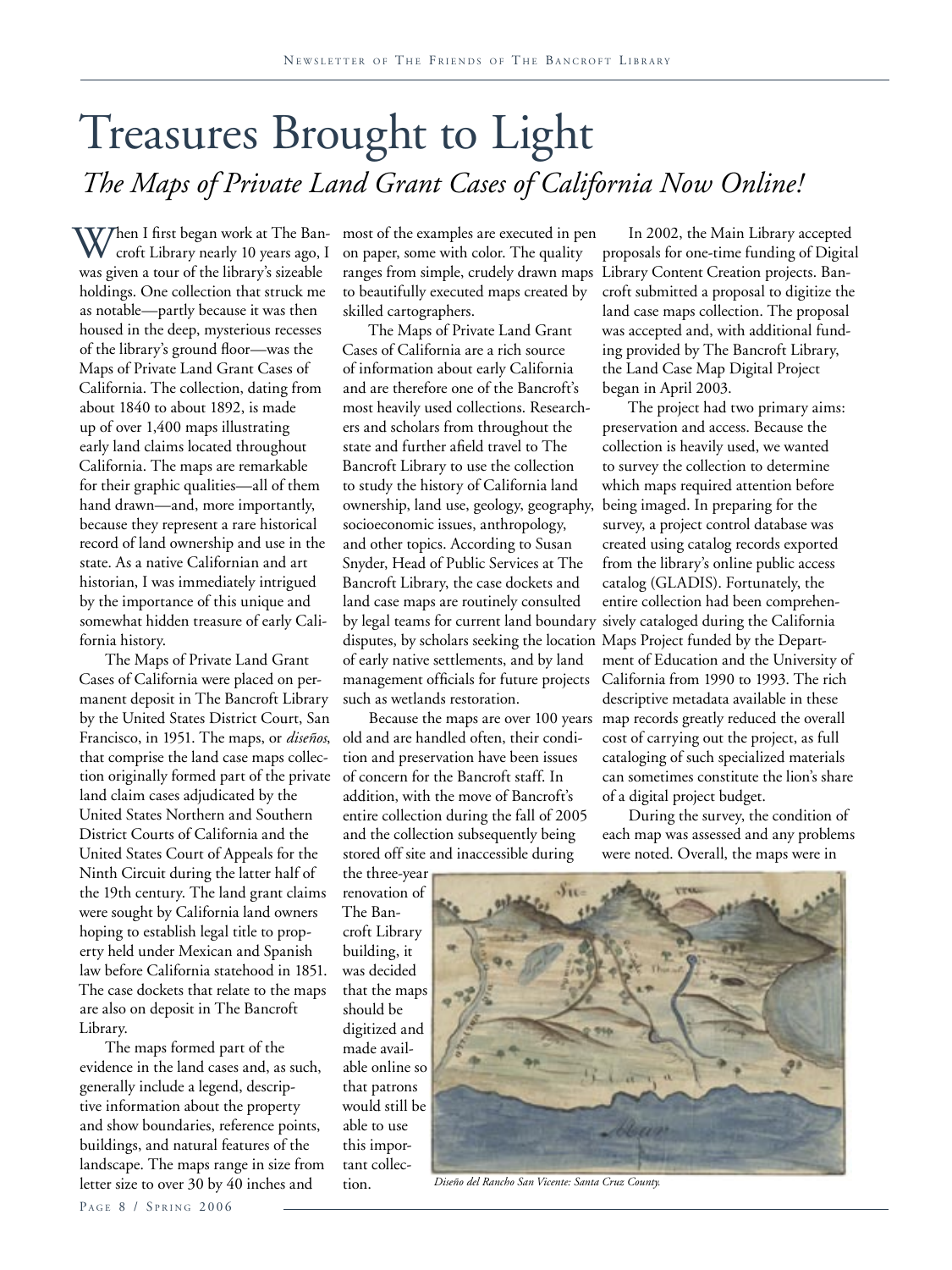# Treasures Brought to Light *The Maps of Private Land Grant Cases of California Now Online!*

 $V$ Then I first began work at The Bancroft Library nearly 10 years ago, I was given a tour of the library's sizeable holdings. One collection that struck me as notable—partly because it was then housed in the deep, mysterious recesses of the library's ground floor—was the Maps of Private Land Grant Cases of California. The collection, dating from about 1840 to about 1892, is made up of over 1,400 maps illustrating early land claims located throughout California. The maps are remarkable for their graphic qualities—all of them hand drawn—and, more importantly, because they represent a rare historical record of land ownership and use in the state. As a native Californian and art historian, I was immediately intrigued by the importance of this unique and somewhat hidden treasure of early California history.

The Maps of Private Land Grant Cases of California were placed on permanent deposit in The Bancroft Library by the United States District Court, San Francisco, in 1951. The maps, or *diseños*, that comprise the land case maps collection originally formed part of the private land claim cases adjudicated by the United States Northern and Southern District Courts of California and the United States Court of Appeals for the Ninth Circuit during the latter half of the 19th century. The land grant claims were sought by California land owners hoping to establish legal title to property held under Mexican and Spanish law before California statehood in 1851. The case dockets that relate to the maps are also on deposit in The Bancroft Library.

The maps formed part of the evidence in the land cases and, as such, generally include a legend, descriptive information about the property and show boundaries, reference points, buildings, and natural features of the landscape. The maps range in size from letter size to over 30 by 40 inches and

most of the examples are executed in pen on paper, some with color. The quality ranges from simple, crudely drawn maps Library Content Creation projects. Banto beautifully executed maps created by skilled cartographers.

The Maps of Private Land Grant Cases of California are a rich source of information about early California and are therefore one of the Bancroft's most heavily used collections. Researchers and scholars from throughout the state and further afield travel to The Bancroft Library to use the collection to study the history of California land ownership, land use, geology, geography, being imaged. In preparing for the socioeconomic issues, anthropology, and other topics. According to Susan Snyder, Head of Public Services at The Bancroft Library, the case dockets and land case maps are routinely consulted by legal teams for current land boundary sively cataloged during the California disputes, by scholars seeking the location Maps Project funded by the Departof early native settlements, and by land management officials for future projects such as wetlands restoration.

old and are handled often, their condition and preservation have been issues of concern for the Bancroft staff. In addition, with the move of Bancroft's entire collection during the fall of 2005 and the collection subsequently being stored off site and inaccessible during

In 2002, the Main Library accepted proposals for one-time funding of Digital croft submitted a proposal to digitize the land case maps collection. The proposal was accepted and, with additional funding provided by The Bancroft Library, the Land Case Map Digital Project began in April 2003.

Because the maps are over 100 years map records greatly reduced the overall The project had two primary aims: preservation and access. Because the collection is heavily used, we wanted to survey the collection to determine which maps required attention before survey, a project control database was created using catalog records exported from the library's online public access catalog (GLADIS). Fortunately, the entire collection had been comprehenment of Education and the University of California from 1990 to 1993. The rich descriptive metadata available in these cost of carrying out the project, as full cataloging of such specialized materials can sometimes constitute the lion's share of a digital project budget.

> During the survey, the condition of each map was assessed and any problems were noted. Overall, the maps were in

the three-year renovation of The Bancroft Library building, it was decided that the maps should be digitized and made available online so that patrons would still be able to use this important collection.



*Diseño del Rancho San Vicente: Santa Cruz County.*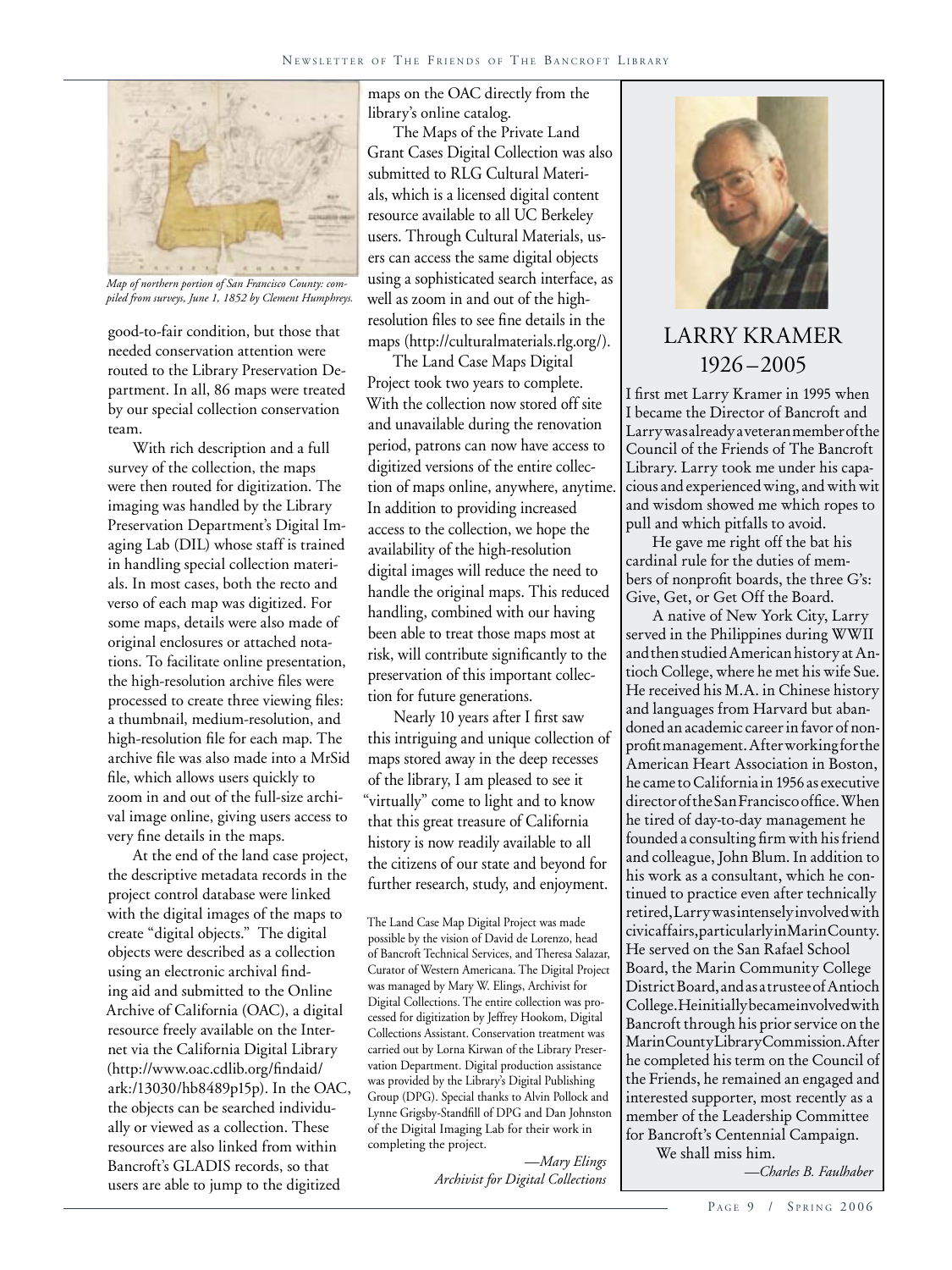

*Map of northern portion of San Francisco County: compiled from surveys, June 1, 1852 by Clement Humphreys.* 

good-to-fair condition, but those that needed conservation attention were routed to the Library Preservation Department. In all, 86 maps were treated by our special collection conservation team.

With rich description and a full survey of the collection, the maps were then routed for digitization. The imaging was handled by the Library Preservation Department's Digital Imaging Lab (DIL) whose staff is trained in handling special collection materials. In most cases, both the recto and verso of each map was digitized. For some maps, details were also made of original enclosures or attached notations. To facilitate online presentation, the high-resolution archive files were processed to create three viewing files: a thumbnail, medium-resolution, and high-resolution file for each map. The archive file was also made into a MrSid file, which allows users quickly to zoom in and out of the full-size archival image online, giving users access to very fine details in the maps.

At the end of the land case project, the descriptive metadata records in the project control database were linked with the digital images of the maps to create "digital objects." The digital objects were described as a collection using an electronic archival finding aid and submitted to the Online Archive of California (OAC), a digital resource freely available on the Internet via the California Digital Library (http://www.oac.cdlib.org/findaid/ ark:/13030/hb8489p15p). In the OAC, the objects can be searched individually or viewed as a collection. These resources are also linked from within Bancroft's GLADIS records, so that users are able to jump to the digitized

maps on the OAC directly from the library's online catalog.

The Maps of the Private Land Grant Cases Digital Collection was also submitted to RLG Cultural Materials, which is a licensed digital content resource available to all UC Berkeley users. Through Cultural Materials, users can access the same digital objects using a sophisticated search interface, as well as zoom in and out of the highresolution files to see fine details in the maps (http://culturalmaterials.rlg.org/).

The Land Case Maps Digital Project took two years to complete. With the collection now stored off site and unavailable during the renovation period, patrons can now have access to digitized versions of the entire collection of maps online, anywhere, anytime. In addition to providing increased access to the collection, we hope the availability of the high-resolution digital images will reduce the need to handle the original maps. This reduced handling, combined with our having been able to treat those maps most at risk, will contribute significantly to the preservation of this important collection for future generations.

Nearly 10 years after I first saw this intriguing and unique collection of maps stored away in the deep recesses of the library, I am pleased to see it "virtually" come to light and to know that this great treasure of California history is now readily available to all the citizens of our state and beyond for further research, study, and enjoyment.

The Land Case Map Digital Project was made possible by the vision of David de Lorenzo, head of Bancroft Technical Services, and Theresa Salazar, Curator of Western Americana. The Digital Project was managed by Mary W. Elings, Archivist for Digital Collections. The entire collection was processed for digitization by Jeffrey Hookom, Digital Collections Assistant. Conservation treatment was carried out by Lorna Kirwan of the Library Preservation Department. Digital production assistance was provided by the Library's Digital Publishing Group (DPG). Special thanks to Alvin Pollock and Lynne Grigsby-Standfill of DPG and Dan Johnston of the Digital Imaging Lab for their work in completing the project.

> *—Mary Elings Archivist for Digital Collections*



## LARRY KRAMER 1926 –2005

I first met Larry Kramer in 1995 when I became the Director of Bancroft and Larry was already a veteran member of the Council of the Friends of The Bancroft Library. Larry took me under his capacious and experienced wing, and with wit and wisdom showed me which ropes to pull and which pitfalls to avoid.

He gave me right off the bat his cardinal rule for the duties of members of nonprofit boards, the three G's: Give, Get, or Get Off the Board.

A native of New York City, Larry served in the Philippines during WWII and then studied American history at Antioch College, where he met his wife Sue. He received his M.A. in Chinese history and languages from Harvard but abandoned an academic career in favor of nonprofit management. After working for the American Heart Association in Boston, he came to California in 1956 as executive director of the San Francisco office. When he tired of day-to-day management he founded a consulting firm with his friend and colleague, John Blum. In addition to his work as a consultant, which he continued to practice even after technically retired, Larry was intensely involved with civic affairs, particularly in Marin County. He served on the San Rafael School Board, the Marin Community College District Board, and as a trustee of Antioch College. Heinitially became involved with Bancroft through his prior service on the Marin County Library Commission. After he completed his term on the Council of the Friends, he remained an engaged and interested supporter, most recently as a member of the Leadership Committee for Bancroft's Centennial Campaign.

We shall miss him.

*—Charles B. Faulhaber*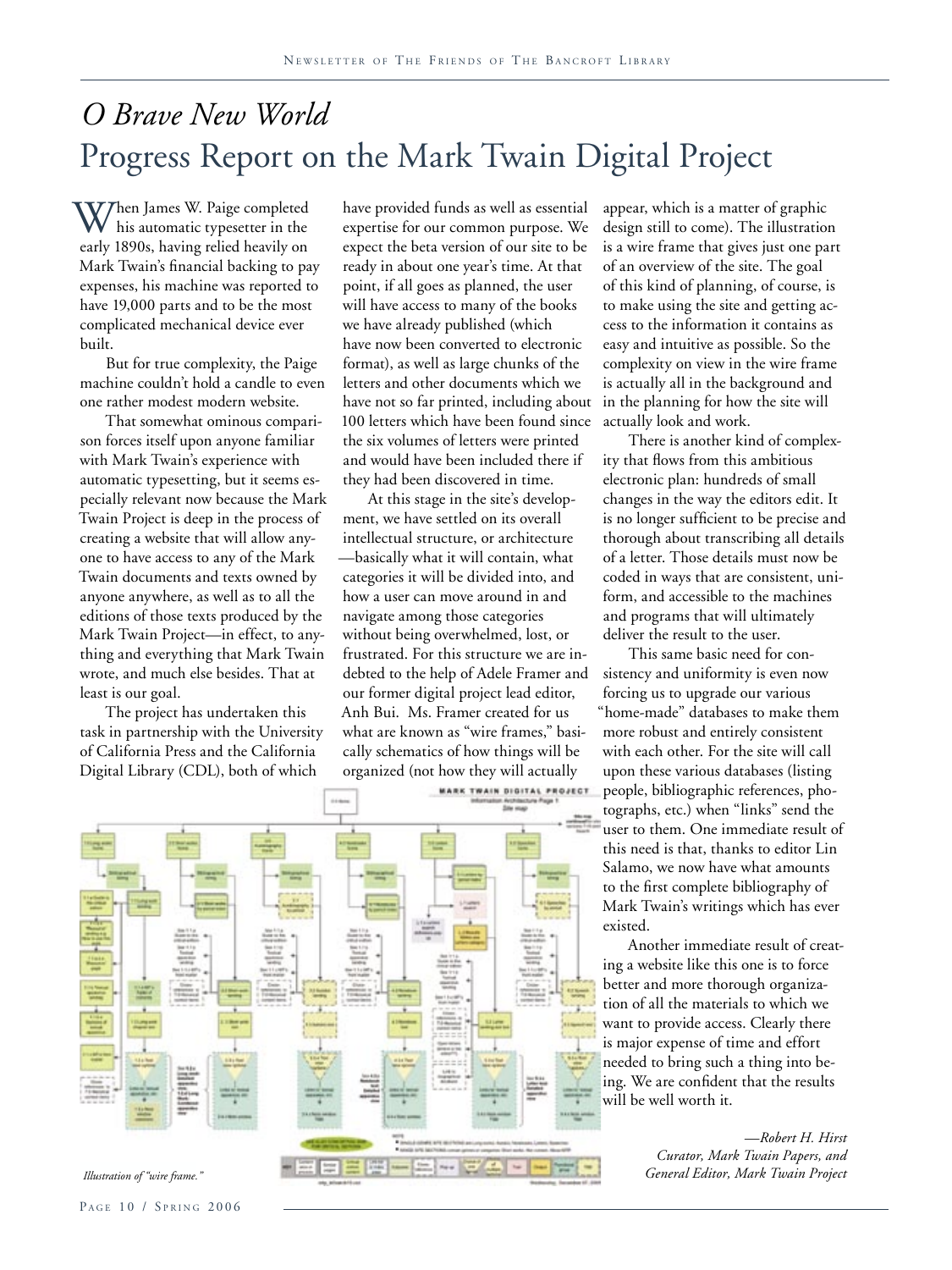## *O Brave New World* Progress Report on the Mark Twain Digital Project

When James W. Paige completed his automatic typesetter in the early 1890s, having relied heavily on Mark Twain's financial backing to pay expenses, his machine was reported to have 19,000 parts and to be the most complicated mechanical device ever built.

But for true complexity, the Paige machine couldn't hold a candle to even one rather modest modern website.

That somewhat ominous comparison forces itself upon anyone familiar with Mark Twain's experience with automatic typesetting, but it seems especially relevant now because the Mark Twain Project is deep in the process of creating a website that will allow anyone to have access to any of the Mark Twain documents and texts owned by anyone anywhere, as well as to all the editions of those texts produced by the Mark Twain Project—in effect, to anything and everything that Mark Twain wrote, and much else besides. That at least is our goal.

The project has undertaken this task in partnership with the University of California Press and the California Digital Library (CDL), both of which

have provided funds as well as essential expertise for our common purpose. We expect the beta version of our site to be ready in about one year's time. At that point, if all goes as planned, the user will have access to many of the books we have already published (which have now been converted to electronic format), as well as large chunks of the letters and other documents which we have not so far printed, including about 100 letters which have been found since the six volumes of letters were printed and would have been included there if they had been discovered in time.

At this stage in the site's development, we have settled on its overall intellectual structure, or architecture —basically what it will contain, what categories it will be divided into, and how a user can move around in and navigate among those categories without being overwhelmed, lost, or frustrated. For this structure we are indebted to the help of Adele Framer and our former digital project lead editor, Anh Bui. Ms. Framer created for us what are known as "wire frames," basically schematics of how things will be organized (not how they will actually



appear, which is a matter of graphic design still to come). The illustration is a wire frame that gives just one part of an overview of the site. The goal of this kind of planning, of course, is to make using the site and getting access to the information it contains as easy and intuitive as possible. So the complexity on view in the wire frame is actually all in the background and in the planning for how the site will actually look and work.

There is another kind of complexity that flows from this ambitious electronic plan: hundreds of small changes in the way the editors edit. It is no longer sufficient to be precise and thorough about transcribing all details of a letter. Those details must now be coded in ways that are consistent, uniform, and accessible to the machines and programs that will ultimately deliver the result to the user.

This same basic need for consistency and uniformity is even now forcing us to upgrade our various "home-made" databases to make them more robust and entirely consistent with each other. For the site will call upon these various databases (listing people, bibliographic references, photographs, etc.) when "links" send the user to them. One immediate result of this need is that, thanks to editor Lin Salamo, we now have what amounts to the first complete bibliography of Mark Twain's writings which has ever existed.

Another immediate result of creating a website like this one is to force better and more thorough organization of all the materials to which we want to provide access. Clearly there is major expense of time and effort needed to bring such a thing into being. We are confident that the results will be well worth it.

> *—Robert H. Hirst Curator, Mark Twain Papers, and*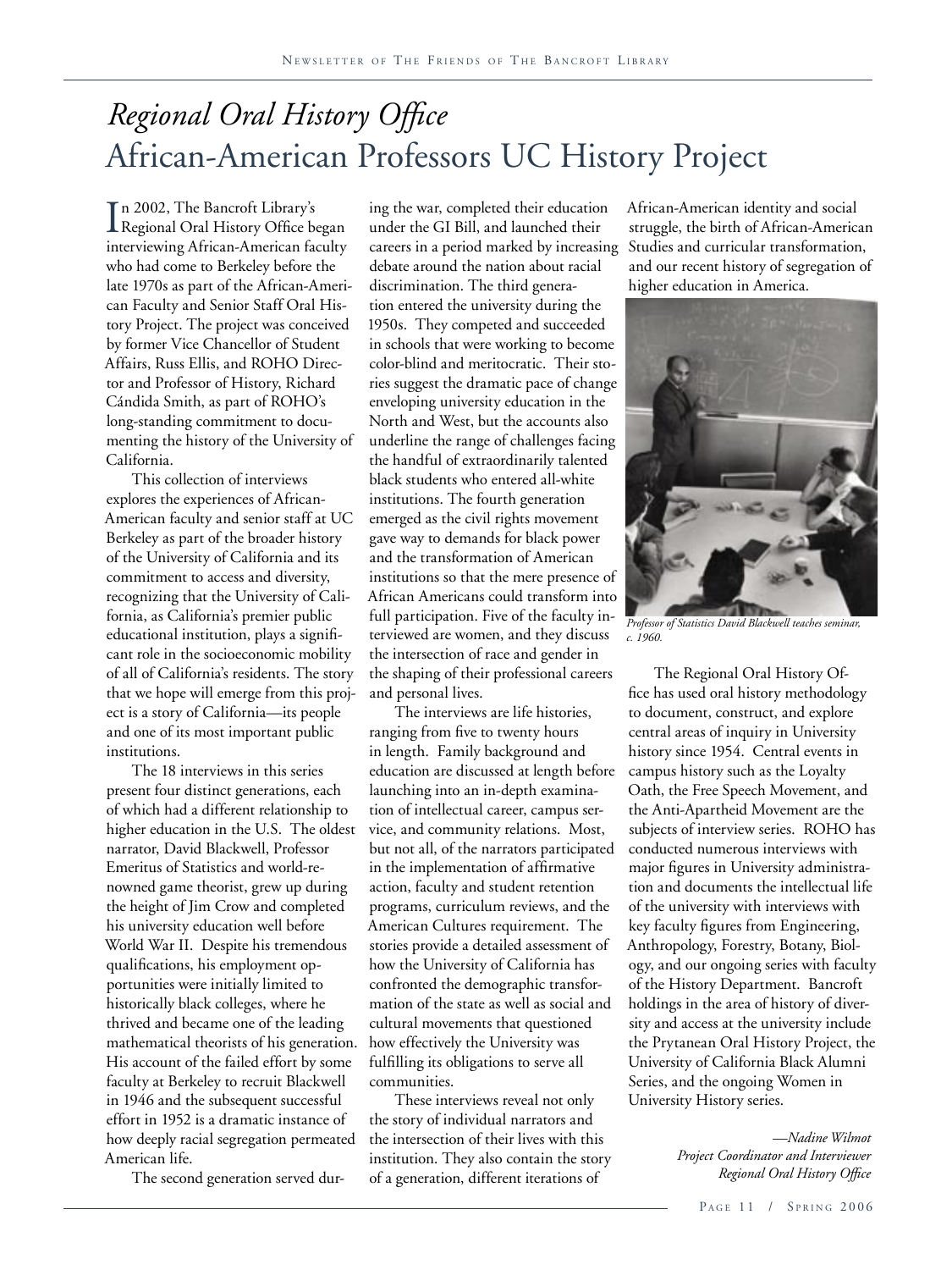## *Regional Oral History Office* African-American Professors UC History Project

I Regional Oral History Office began n 2002, The Bancroft Library's interviewing African-American faculty who had come to Berkeley before the late 1970s as part of the African-American Faculty and Senior Staff Oral History Project. The project was conceived by former Vice Chancellor of Student Affairs, Russ Ellis, and ROHO Director and Professor of History, Richard Cándida Smith, as part of ROHO's long-standing commitment to documenting the history of the University of California.

This collection of interviews explores the experiences of African-American faculty and senior staff at UC Berkeley as part of the broader history of the University of California and its commitment to access and diversity, recognizing that the University of California, as California's premier public educational institution, plays a significant role in the socioeconomic mobility of all of California's residents. The story that we hope will emerge from this project is a story of California—its people and one of its most important public institutions.

The 18 interviews in this series present four distinct generations, each of which had a different relationship to higher education in the U.S. The oldest narrator, David Blackwell, Professor Emeritus of Statistics and world-renowned game theorist, grew up during the height of Jim Crow and completed his university education well before World War II. Despite his tremendous qualifications, his employment opportunities were initially limited to historically black colleges, where he thrived and became one of the leading mathematical theorists of his generation. His account of the failed effort by some faculty at Berkeley to recruit Blackwell in 1946 and the subsequent successful effort in 1952 is a dramatic instance of how deeply racial segregation permeated American life.

The second generation served dur-

ing the war, completed their education under the GI Bill, and launched their careers in a period marked by increasing Studies and curricular transformation, debate around the nation about racial discrimination. The third generation entered the university during the 1950s. They competed and succeeded in schools that were working to become color-blind and meritocratic. Their stories suggest the dramatic pace of change enveloping university education in the North and West, but the accounts also underline the range of challenges facing the handful of extraordinarily talented black students who entered all-white institutions. The fourth generation emerged as the civil rights movement gave way to demands for black power and the transformation of American institutions so that the mere presence of African Americans could transform into full participation. Five of the faculty interviewed are women, and they discuss the intersection of race and gender in the shaping of their professional careers and personal lives.

The interviews are life histories, ranging from five to twenty hours in length. Family background and education are discussed at length before launching into an in-depth examination of intellectual career, campus service, and community relations. Most, but not all, of the narrators participated in the implementation of affirmative action, faculty and student retention programs, curriculum reviews, and the American Cultures requirement. The stories provide a detailed assessment of how the University of California has confronted the demographic transformation of the state as well as social and cultural movements that questioned how effectively the University was fulfilling its obligations to serve all communities.

These interviews reveal not only the story of individual narrators and the intersection of their lives with this institution. They also contain the story of a generation, different iterations of

African-American identity and social struggle, the birth of African-American and our recent history of segregation of higher education in America.



*Professor of Statistics David Blackwell teaches seminar, c. 1960.*

The Regional Oral History Office has used oral history methodology to document, construct, and explore central areas of inquiry in University history since 1954. Central events in campus history such as the Loyalty Oath, the Free Speech Movement, and the Anti-Apartheid Movement are the subjects of interview series. ROHO has conducted numerous interviews with major figures in University administration and documents the intellectual life of the university with interviews with key faculty figures from Engineering, Anthropology, Forestry, Botany, Biology, and our ongoing series with faculty of the History Department. Bancroft holdings in the area of history of diversity and access at the university include the Prytanean Oral History Project, the University of California Black Alumni Series, and the ongoing Women in University History series.

> *—Nadine Wilmot Project Coordinator and Interviewer Regional Oral History Office*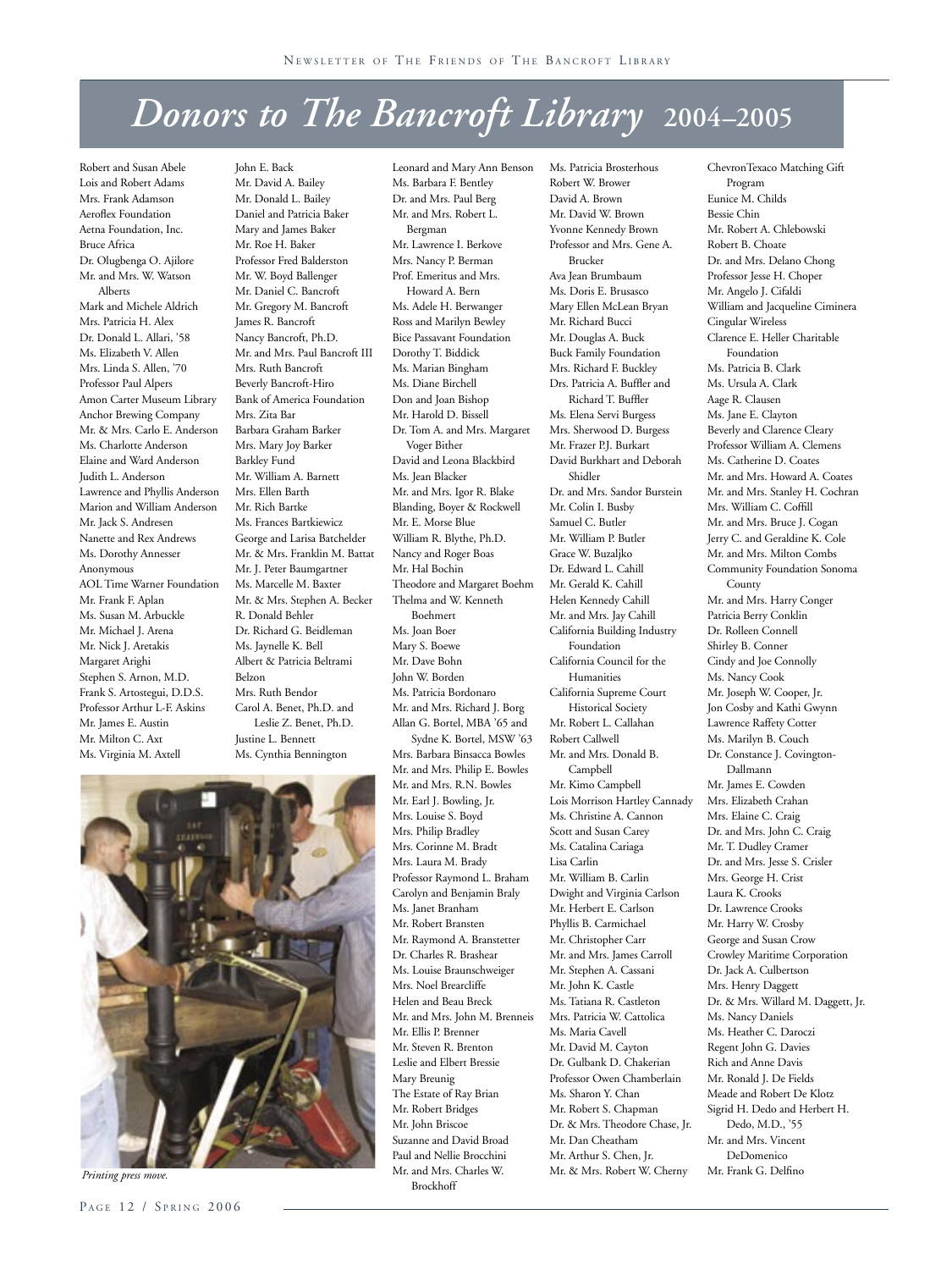## *Donors to The Bancroft Library* **2004–2005**

Leonard and Mary Ann Benson

Robert and Susan Abele Lois and Robert Adams Mrs. Frank Adamson Aeroflex Foundation Aetna Foundation, Inc. Bruce Africa Dr. Olugbenga O. Ajilore Mr. and Mrs. W. Watson Alberts Mark and Michele Aldrich Mrs. Patricia H. Alex Dr. Donald L. Allari, '58 Ms. Elizabeth V. Allen Mrs. Linda S. Allen, '70 Professor Paul Alpers Amon Carter Museum Library Anchor Brewing Company Mr. & Mrs. Carlo E. Anderson Ms. Charlotte Anderson Elaine and Ward Anderson Judith L. Anderson Lawrence and Phyllis Anderson Marion and William Anderson Mr. Jack S. Andresen Nanette and Rex Andrews Ms. Dorothy Annesser Anonymous AOL Time Warner Foundation Mr. Frank F. Aplan Ms. Susan M. Arbuckle Mr. Michael J. Arena Mr. Nick J. Aretakis Margaret Arighi Stephen S. Arnon, M.D. Frank S. Artostegui, D.D.S. Professor Arthur L-F. Askins Mr. James E. Austin Mr. Milton C. Axt Ms. Virginia M. Axtell

John E. Back Mr. David A. Bailey Mr. Donald L. Bailey Daniel and Patricia Baker Mary and James Baker Mr. Roe H. Baker Professor Fred Balderston Mr. W. Boyd Ballenger Mr. Daniel C. Bancroft Mr. Gregory M. Bancroft James R. Bancroft Nancy Bancroft, Ph.D. Mr. and Mrs. Paul Bancroft III Mrs. Ruth Bancroft Beverly Bancroft-Hiro Bank of America Foundation Mrs. Zita Bar Barbara Graham Barker Mrs. Mary Joy Barker Barkley Fund Mr. William A. Barnett Mrs. Ellen Barth Mr. Rich Bartke Ms. Frances Bartkiewicz George and Larisa Batchelder Mr. & Mrs. Franklin M. Battat Mr. J. Peter Baumgartner Ms. Marcelle M. Baxter Mr. & Mrs. Stephen A. Becker R. Donald Behler Dr. Richard G. Beidleman Ms. Jaynelle K. Bell Albert & Patricia Beltrami Belzon Mrs. Ruth Bendor Carol A. Benet, Ph.D. and Leslie Z. Benet, Ph.D. Justine L. Bennett Ms. Cynthia Bennington

Ms. Barbara F. Bentley Dr. and Mrs. Paul Berg Mr. and Mrs. Robert L. Bergman Mr. Lawrence I. Berkove Mrs. Nancy P. Berman Prof. Emeritus and Mrs. Howard A. Bern Ms. Adele H. Berwanger Ross and Marilyn Bewley Bice Passavant Foundation Dorothy T. Biddick Ms. Marian Bingham Ms. Diane Birchell Don and Joan Bishop Mr. Harold D. Bissell Dr. Tom A. and Mrs. Margaret Voger Bither David and Leona Blackbird Ms. Jean Blacker Mr. and Mrs. Igor R. Blake Blanding, Boyer & Rockwell Mr. E. Morse Blue William R. Blythe, Ph.D. Nancy and Roger Boas Mr. Hal Bochin Theodore and Margaret Boehm Thelma and W. Kenneth Boehmert Ms. Joan Boer Mary S. Boewe Mr. Dave Bohn John W. Borden Ms. Patricia Bordonaro Mr. and Mrs. Richard J. Borg Allan G. Bortel, MBA '65 and Sydne K. Bortel, MSW '63 Mrs. Barbara Binsacca Bowles Mr. and Mrs. Philip E. Bowles Mr. and Mrs. R.N. Bowles Mr. Earl J. Bowling, Jr. Mrs. Louise S. Boyd Mrs. Philip Bradley Mrs. Corinne M. Bradt Mrs. Laura M. Brady Professor Raymond L. Braham Carolyn and Benjamin Braly Ms. Janet Branham Mr. Robert Bransten Mr. Raymond A. Branstetter Dr. Charles R. Brashear Ms. Louise Braunschweiger Mrs. Noel Brearcliffe Helen and Beau Breck Mr. and Mrs. John M. Brenneis Mr. Ellis P. Brenner Mr. Steven R. Brenton Leslie and Elbert Bressie Mary Breunig The Estate of Ray Brian Mr. Robert Bridges Mr. John Briscoe Suzanne and David Broad Paul and Nellie Brocchini

Mr. and Mrs. Charles W. Brockhoff

Robert W. Brower David A. Brown Mr. David W. Brown Yvonne Kennedy Brown Professor and Mrs. Gene A. Brucker Ava Jean Brumbaum Ms. Doris E. Brusasco Mary Ellen McLean Bryan Mr. Richard Bucci Mr. Douglas A. Buck Buck Family Foundation Mrs. Richard F. Buckley Drs. Patricia A. Buffler and Richard T. Buffler Ms. Elena Servi Burgess Mrs. Sherwood D. Burgess Mr. Frazer P.J. Burkart David Burkhart and Deborah Shidler Dr. and Mrs. Sandor Burstein Mr. Colin I. Busby Samuel C. Butler Mr. William P. Butler Grace W. Buzaljko Dr. Edward L. Cahill Mr. Gerald K. Cahill Helen Kennedy Cahill Mr. and Mrs. Jay Cahill California Building Industry Foundation California Council for the Humanities California Supreme Court Historical Society Mr. Robert L. Callahan Robert Callwell Mr. and Mrs. Donald B. Campbell Mr. Kimo Campbell Lois Morrison Hartley Cannady Ms. Christine A. Cannon Scott and Susan Carey Ms. Catalina Cariaga Lisa Carlin Mr. William B. Carlin Dwight and Virginia Carlson Mr. Herbert E. Carlson Phyllis B. Carmichael Mr. Christopher Carr Mr. and Mrs. James Carroll Mr. Stephen A. Cassani Mr. John K. Castle Ms. Tatiana R. Castleton Mrs. Patricia W. Cattolica Ms. Maria Cavell Mr. David M. Cayton Dr. Gulbank D. Chakerian Professor Owen Chamberlain Ms. Sharon Y. Chan Mr. Robert S. Chapman Dr. & Mrs. Theodore Chase, Jr. Mr. Dan Cheatham Mr. Arthur S. Chen, Jr. Mr. & Mrs. Robert W. Cherny

Ms. Patricia Brosterhous

ChevronTexaco Matching Gift Program Eunice M. Childs Bessie Chin Mr. Robert A. Chlebowski Robert B. Choate Dr. and Mrs. Delano Chong Professor Jesse H. Choper Mr. Angelo J. Cifaldi William and Jacqueline Ciminera Cingular Wireless Clarence E. Heller Charitable Foundation Ms. Patricia B. Clark Ms. Ursula A. Clark Aage R. Clausen Ms. Jane E. Clayton Beverly and Clarence Cleary Professor William A. Clemens Ms. Catherine D. Coates Mr. and Mrs. Howard A. Coates Mr. and Mrs. Stanley H. Cochran Mrs. William C. Coffill Mr. and Mrs. Bruce J. Cogan Jerry C. and Geraldine K. Cole Mr. and Mrs. Milton Combs Community Foundation Sonoma County Mr. and Mrs. Harry Conger Patricia Berry Conklin Dr. Rolleen Connell Shirley B. Conner Cindy and Joe Connolly Ms. Nancy Cook Mr. Joseph W. Cooper, Jr. Jon Cosby and Kathi Gwynn Lawrence Raffety Cotter Ms. Marilyn B. Couch Dr. Constance J. Covington- Dallmann Mr. James E. Cowden Mrs. Elizabeth Crahan Mrs. Elaine C. Craig Dr. and Mrs. John C. Craig Mr. T. Dudley Cramer Dr. and Mrs. Jesse S. Crisler Mrs. George H. Crist Laura K. Crooks Dr. Lawrence Crooks Mr. Harry W. Crosby George and Susan Crow Crowley Maritime Corporation Dr. Jack A. Culbertson Mrs. Henry Daggett Dr. & Mrs. Willard M. Daggett, Jr. Ms. Nancy Daniels Ms. Heather C. Daroczi Regent John G. Davies Rich and Anne Davis Mr. Ronald J. De Fields Meade and Robert De Klotz Sigrid H. Dedo and Herbert H. Dedo, M.D., '55 Mr. and Mrs. Vincent DeDomenico Mr. Frank G. Delfino



*Printing press move.*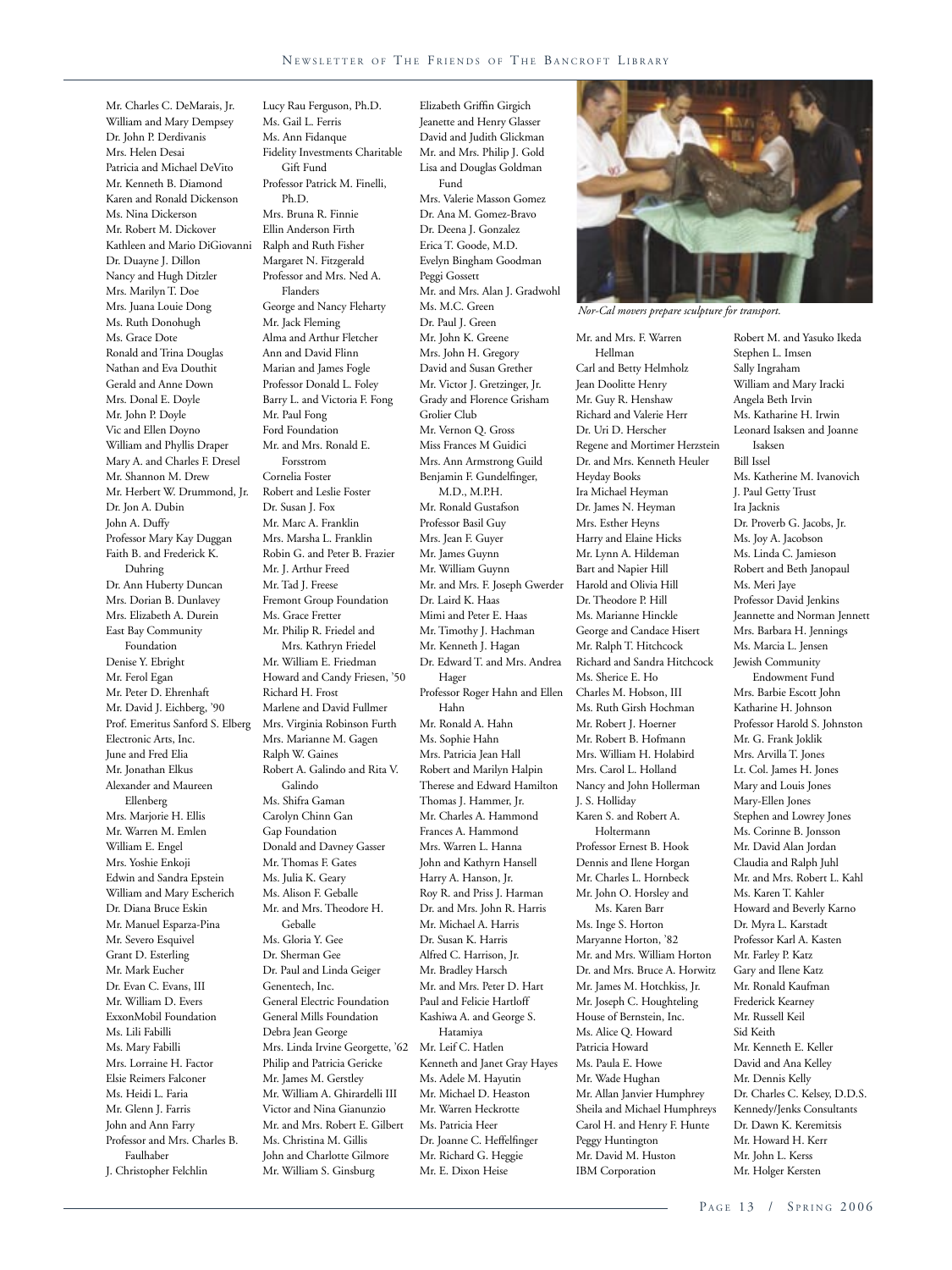Elizabeth Griffin Girgich Jeanette and Henry Glasser David and Judith Glickman

Mr. Charles C. DeMarais, Jr. William and Mary Dempsey Dr. John P. Derdivanis Mrs. Helen Desai Patricia and Michael DeVito Mr. Kenneth B. Diamond Karen and Ronald Dickenson Ms. Nina Dickerson Mr. Robert M. Dickover Kathleen and Mario DiGiovanni Dr. Duayne J. Dillon Nancy and Hugh Ditzler Mrs. Marilyn T. Doe Mrs. Juana Louie Dong Ms. Ruth Donohugh Ms. Grace Dote Ronald and Trina Douglas Nathan and Eva Douthit Gerald and Anne Down Mrs. Donal E. Doyle Mr. John P. Doyle Vic and Ellen Doyno William and Phyllis Draper Mary A. and Charles F. Dresel Mr. Shannon M. Drew Mr. Herbert W. Drummond, Jr. Dr. Jon A. Dubin John A. Duffy Professor Mary Kay Duggan Faith B. and Frederick K. Duhring Dr. Ann Huberty Duncan Mrs. Dorian B. Dunlavey Mrs. Elizabeth A. Durein East Bay Community Foundation Denise Y. Ebright Mr. Ferol Egan Mr. Peter D. Ehrenhaft Mr. David J. Eichberg, '90 Prof. Emeritus Sanford S. Elberg Electronic Arts, Inc. June and Fred Elia Mr. Jonathan Elkus Alexander and Maureen Ellenberg Mrs. Marjorie H. Ellis Mr. Warren M. Emlen William E. Engel Mrs. Yoshie Enkoji Edwin and Sandra Epstein William and Mary Escherich Dr. Diana Bruce Eskin Mr. Manuel Esparza-Pina Mr. Severo Esquivel Grant D. Esterling Mr. Mark Eucher Dr. Evan C. Evans, III Mr. William D. Evers ExxonMobil Foundation Ms. Lili Fabilli Ms. Mary Fabilli Mrs. Lorraine H. Factor Elsie Reimers Falconer Ms. Heidi L. Faria Mr. Glenn J. Farris John and Ann Farry Professor and Mrs. Charles B. Faulhaber J. Christopher Felchlin

Ms. Gail L. Ferris Ms. Ann Fidanque Fidelity Investments Charitable Gift Fund Professor Patrick M. Finelli, Ph.D. Mrs. Bruna R. Finnie Ellin Anderson Firth Ralph and Ruth Fisher Margaret N. Fitzgerald Professor and Mrs. Ned A. Flanders George and Nancy Fleharty Mr. Jack Fleming Alma and Arthur Fletcher Ann and David Flinn Marian and James Fogle Professor Donald L. Foley Barry L. and Victoria F. Fong Mr. Paul Fong Ford Foundation Mr. and Mrs. Ronald E. Forsstrom Cornelia Foster Robert and Leslie Foster Dr. Susan J. Fox Mr. Marc A. Franklin Mrs. Marsha L. Franklin Robin G. and Peter B. Frazier Mr. J. Arthur Freed Mr. Tad J. Freese Fremont Group Foundation Ms. Grace Fretter Mr. Philip R. Friedel and Mrs. Kathryn Friedel Mr. William E. Friedman Howard and Candy Friesen, '50 Richard H. Frost Marlene and David Fullmer Mrs. Virginia Robinson Furth Mrs. Marianne M. Gagen Ralph W. Gaines Robert A. Galindo and Rita V. Galindo Ms. Shifra Gaman Carolyn Chinn Gan Gap Foundation Donald and Davney Gasser Mr. Thomas F. Gates Ms. Julia K. Geary Ms. Alison F. Geballe Mr. and Mrs. Theodore H. Geballe Ms. Gloria Y. Gee Dr. Sherman Gee Dr. Paul and Linda Geiger Genentech, Inc. General Electric Foundation General Mills Foundation Debra Jean George Mrs. Linda Irvine Georgette, '62 Philip and Patricia Gericke Mr. James M. Gerstley Mr. William A. Ghirardelli III Victor and Nina Gianunzio Mr. and Mrs. Robert E. Gilbert Ms. Christina M. Gillis John and Charlotte Gilmore Mr. William S. Ginsburg

Lucy Rau Ferguson, Ph.D.

Mr. and Mrs. Philip J. Gold Lisa and Douglas Goldman Fund Mrs. Valerie Masson Gomez Dr. Ana M. Gomez-Bravo Dr. Deena J. Gonzalez Erica T. Goode, M.D. Evelyn Bingham Goodman Peggi Gossett Mr. and Mrs. Alan J. Gradwohl Ms. M.C. Green Dr. Paul J. Green Mr. John K. Greene Mrs. John H. Gregory David and Susan Grether Mr. Victor J. Gretzinger, Jr. Grady and Florence Grisham Grolier Club Mr. Vernon Q. Gross Miss Frances M Guidici Mrs. Ann Armstrong Guild Benjamin F. Gundelfinger, M.D., M.P.H. Mr. Ronald Gustafson Professor Basil Guy Mrs. Jean F. Guyer Mr. James Guynn Mr. William Guynn Mr. and Mrs. F. Joseph Gwerder Dr. Laird K. Haas Mimi and Peter E. Haas Mr. Timothy J. Hachman Mr. Kenneth J. Hagan Dr. Edward T. and Mrs. Andrea Hager Professor Roger Hahn and Ellen Hahn Mr. Ronald A. Hahn Ms. Sophie Hahn Mrs. Patricia Jean Hall Robert and Marilyn Halpin Therese and Edward Hamilton Thomas J. Hammer, Jr. Mr. Charles A. Hammond Frances A. Hammond Mrs. Warren L. Hanna John and Kathyrn Hansell Harry A. Hanson, Jr. Roy R. and Priss J. Harman Dr. and Mrs. John R. Harris Mr. Michael A. Harris Dr. Susan K. Harris Alfred C. Harrison, Jr. Mr. Bradley Harsch Mr. and Mrs. Peter D. Hart Paul and Felicie Hartloff Kashiwa A. and George S. Hatamiya Mr. Leif C. Hatlen Kenneth and Janet Gray Hayes Ms. Adele M. Hayutin Mr. Michael D. Heaston Mr. Warren Heckrotte Ms. Patricia Heer Dr. Joanne C. Heffelfinger Mr. Richard G. Heggie Mr. E. Dixon Heise



*Nor-Cal movers prepare sculpture for transport.*

Mr. and Mrs. F. Warren Hellman Carl and Betty Helmholz Jean Doolitte Henry Mr. Guy R. Henshaw Richard and Valerie Herr Dr. Uri D. Herscher Regene and Mortimer Herzstein Dr. and Mrs. Kenneth Heuler Heyday Books Ira Michael Heyman Dr. James N. Heyman Mrs. Esther Heyns Harry and Elaine Hicks Mr. Lynn A. Hildeman Bart and Napier Hill Harold and Olivia Hill Dr. Theodore P. Hill Ms. Marianne Hinckle George and Candace Hisert Mr. Ralph T. Hitchcock Richard and Sandra Hitchcock Ms. Sherice E. Ho Charles M. Hobson, III Ms. Ruth Girsh Hochman Mr. Robert J. Hoerner Mr. Robert B. Hofmann Mrs. William H. Holabird Mrs. Carol L. Holland Nancy and John Hollerman J. S. Holliday Karen S. and Robert A. Holtermann Professor Ernest B. Hook Dennis and Ilene Horgan Mr. Charles L. Hornbeck Mr. John O. Horsley and Ms. Karen Barr Ms. Inge S. Horton Maryanne Horton, '82 Mr. and Mrs. William Horton Dr. and Mrs. Bruce A. Horwitz Mr. James M. Hotchkiss, Jr. Mr. Joseph C. Houghteling House of Bernstein, Inc. Ms. Alice Q. Howard Patricia Howard Ms. Paula E. Howe Mr. Wade Hughan Mr. Allan Janvier Humphrey Sheila and Michael Humphreys Carol H. and Henry F. Hunte Peggy Huntington Mr. David M. Huston IBM Corporation

Robert M. and Yasuko Ikeda Stephen L. Imsen Sally Ingraham William and Mary Iracki Angela Beth Irvin Ms. Katharine H. Irwin Leonard Isaksen and Joanne Isaksen Bill Issel Ms. Katherine M. Ivanovich J. Paul Getty Trust Ira Jacknis Dr. Proverb G. Jacobs, Jr. Ms. Joy A. Jacobson Ms. Linda C. Jamieson Robert and Beth Janopaul Ms. Meri Jaye Professor David Jenkins Jeannette and Norman Jennett Mrs. Barbara H. Jennings Ms. Marcia L. Jensen Jewish Community Endowment Fund Mrs. Barbie Escott John Katharine H. Johnson Professor Harold S. Johnston Mr. G. Frank Joklik Mrs. Arvilla T. Jones Lt. Col. James H. Jones Mary and Louis Jones Mary-Ellen Jones Stephen and Lowrey Jones Ms. Corinne B. Jonsson Mr. David Alan Jordan Claudia and Ralph Juhl Mr. and Mrs. Robert L. Kahl Ms. Karen T. Kahler Howard and Beverly Karno Dr. Myra L. Karstadt Professor Karl A. Kasten Mr. Farley P. Katz Gary and Ilene Katz Mr. Ronald Kaufman Frederick Kearney Mr. Russell Keil Sid Keith Mr. Kenneth E. Keller David and Ana Kelley Mr. Dennis Kelly Dr. Charles C. Kelsey, D.D.S. Kennedy/Jenks Consultants Dr. Dawn K. Keremitsis Mr. Howard H. Kerr Mr. John L. Kerss Mr. Holger Kersten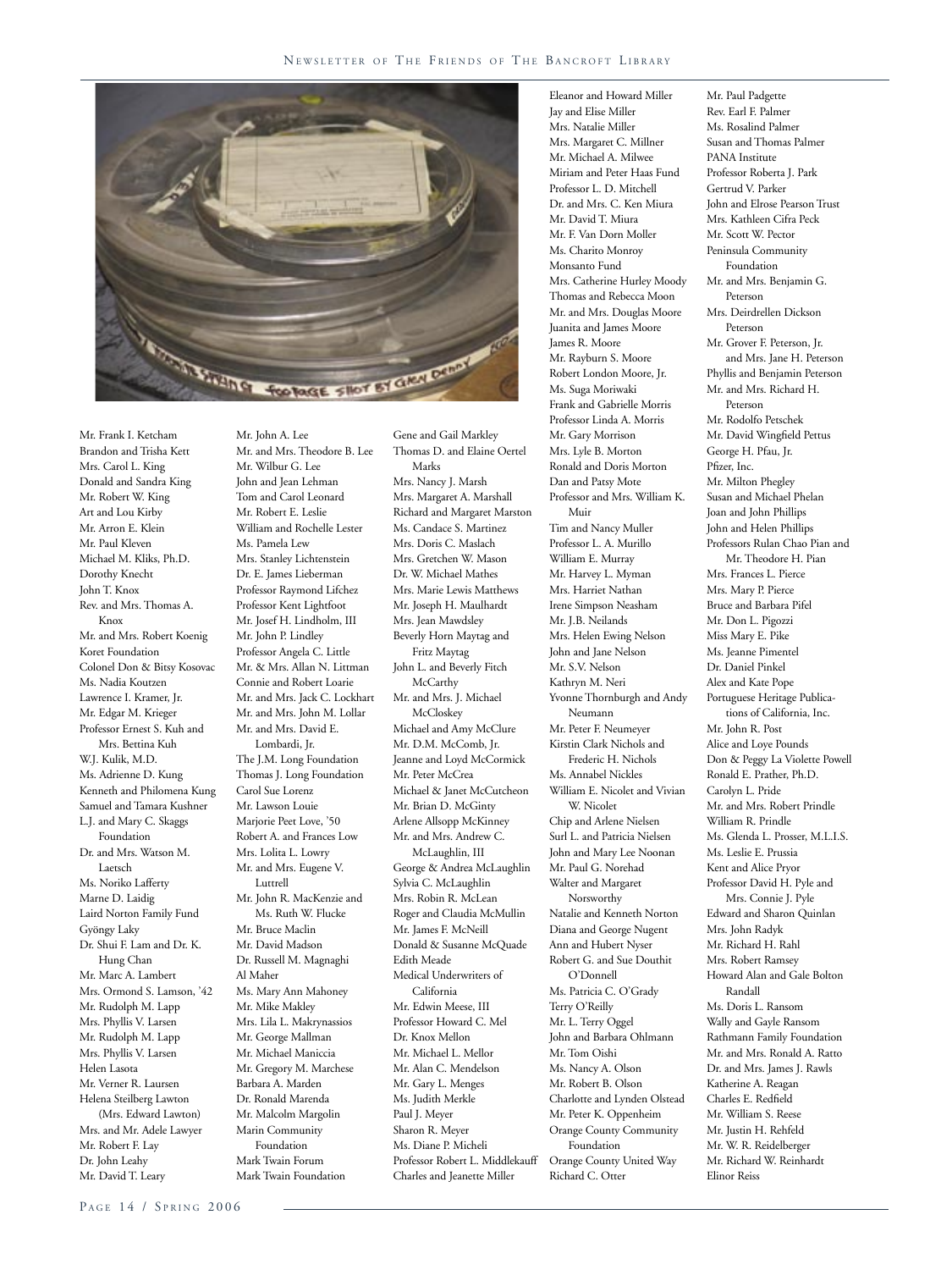

Mr. John A. Lee

Brandon and Trisha Kett Mrs. Carol L. King Donald and Sandra King Mr. Robert W. King Art and Lou Kirby Mr. Arron E. Klein Mr. Paul Kleven Michael M. Kliks, Ph.D. Dorothy Knecht John T. Knox Rev. and Mrs. Thomas A. Knox Mr. and Mrs. Robert Koenig Koret Foundation Colonel Don & Bitsy Kosovac Ms. Nadia Koutzen Lawrence I. Kramer, Jr. Mr. Edgar M. Krieger Professor Ernest S. Kuh and Mrs. Bettina Kuh W.J. Kulik, M.D. Ms. Adrienne D. Kung Kenneth and Philomena Kung Samuel and Tamara Kushner L.J. and Mary C. Skaggs Foundation Dr. and Mrs. Watson M. Laetsch Ms. Noriko Lafferty Marne D. Laidig Laird Norton Family Fund Gyöngy Laky Dr. Shui F. Lam and Dr. K. Hung Chan Mr. Marc A. Lambert Mrs. Ormond S. Lamson, '42 Mr. Rudolph M. Lapp Mrs. Phyllis V. Larsen Mr. Rudolph M. Lapp Mrs. Phyllis V. Larsen Helen Lasota Mr. Verner R. Laursen Helena Steilberg Lawton (Mrs. Edward Lawton) Mrs. and Mr. Adele Lawyer Mr. Robert F. Lay Dr. John Leahy Mr. David T. Leary

Mr. Frank I. Ketcham

Mr. and Mrs. Theodore B. Lee Mr. Wilbur G. Lee John and Jean Lehman Tom and Carol Leonard Mr. Robert E. Leslie William and Rochelle Lester Ms. Pamela Lew Mrs. Stanley Lichtenstein Dr. E. James Lieberman Professor Raymond Lifchez Professor Kent Lightfoot Mr. Josef H. Lindholm, III Mr. John P. Lindley Professor Angela C. Little Mr. & Mrs. Allan N. Littman Connie and Robert Loarie Mr. and Mrs. Jack C. Lockhart Mr. and Mrs. John M. Lollar Mr. and Mrs. David E. Lombardi, Jr. The J.M. Long Foundation Thomas J. Long Foundation Carol Sue Lorenz Mr. Lawson Louie Marjorie Peet Love, '50 Robert A. and Frances Low Mrs. Lolita L. Lowry Mr. and Mrs. Eugene V. Luttrell Mr. John R. MacKenzie and Ms. Ruth W. Flucke Mr. Bruce Maclin Mr. David Madson Dr. Russell M. Magnaghi Al Maher Ms. Mary Ann Mahoney Mr. Mike Makley Mrs. Lila L. Makrynassios Mr. George Mallman Mr. Michael Maniccia Mr. Gregory M. Marchese Barbara A. Marden Dr. Ronald Marenda Mr. Malcolm Margolin Marin Community Foundation Mark Twain Forum Mark Twain Foundation

Gene and Gail Markley Thomas D. and Elaine Oertel Marks Mrs. Nancy J. Marsh Mrs. Margaret A. Marshall Richard and Margaret Marston Ms. Candace S. Martinez Mrs. Doris C. Maslach Mrs. Gretchen W. Mason Dr. W. Michael Mathes Mrs. Marie Lewis Matthews Mr. Joseph H. Maulhardt Mrs. Jean Mawdsley Beverly Horn Maytag and Fritz Maytag John L. and Beverly Fitch **McCarthy** Mr. and Mrs. J. Michael McCloskey Michael and Amy McClure Mr. D.M. McComb, Jr. Jeanne and Loyd McCormick Mr. Peter McCrea Michael & Janet McCutcheon Mr. Brian D. McGinty Arlene Allsopp McKinney Mr. and Mrs. Andrew C. McLaughlin, III George & Andrea McLaughlin Sylvia C. McLaughlin Mrs. Robin R. McLean Roger and Claudia McMullin Mr. James F. McNeill Donald & Susanne McQuade Edith Meade Medical Underwriters of California Mr. Edwin Meese, III Professor Howard C. Mel Dr. Knox Mellon Mr. Michael L. Mellor Mr. Alan C. Mendelson Mr. Gary L. Menges Ms. Judith Merkle Paul J. Meyer Sharon R. Meyer Ms. Diane P. Micheli Professor Robert L. Middlekauff Charles and Jeanette Miller

Eleanor and Howard Miller Jay and Elise Miller Mrs. Natalie Miller Mrs. Margaret C. Millner Mr. Michael A. Milwee Miriam and Peter Haas Fund Professor L. D. Mitchell Dr. and Mrs. C. Ken Miura Mr. David T. Miura Mr. F. Van Dorn Moller Ms. Charito Monroy Monsanto Fund Mrs. Catherine Hurley Moody Thomas and Rebecca Moon Mr. and Mrs. Douglas Moore Juanita and James Moore James R. Moore Mr. Rayburn S. Moore Robert London Moore, Jr. Ms. Suga Moriwaki Frank and Gabrielle Morris Professor Linda A. Morris Mr. Gary Morrison Mrs. Lyle B. Morton Ronald and Doris Morton Dan and Patsy Mote Professor and Mrs. William K. Muir Tim and Nancy Muller Professor L. A. Murillo William E. Murray Mr. Harvey L. Myman Mrs. Harriet Nathan Irene Simpson Neasham Mr. J.B. Neilands Mrs. Helen Ewing Nelson John and Jane Nelson Mr. S.V. Nelson Kathryn M. Neri Yvonne Thornburgh and Andy Neumann Mr. Peter F. Neumeyer Kirstin Clark Nichols and Frederic H. Nichols Ms. Annabel Nickles William E. Nicolet and Vivian W. Nicolet Chip and Arlene Nielsen Surl L. and Patricia Nielsen John and Mary Lee Noonan Mr. Paul G. Norehad Walter and Margaret Norsworthy Natalie and Kenneth Norton Diana and George Nugent Ann and Hubert Nyser Robert G. and Sue Douthit O'Donnell Ms. Patricia C. O'Grady Terry O'Reilly Mr. L. Terry Oggel John and Barbara Ohlmann Mr. Tom Oishi Ms. Nancy A. Olson Mr. Robert B. Olson Charlotte and Lynden Olstead Mr. Peter K. Oppenheim Orange County Community Foundation Orange County United Way Richard C. Otter

Mr. Paul Padgette Rev. Earl F. Palmer Ms. Rosalind Palmer Susan and Thomas Palmer PANA Institute Professor Roberta J. Park Gertrud V. Parker John and Elrose Pearson Trust Mrs. Kathleen Cifra Peck Mr. Scott W. Pector Peninsula Community Foundation Mr. and Mrs. Benjamin G. Peterson Mrs. Deirdrellen Dickson Peterson Mr. Grover F. Peterson, Jr. and Mrs. Jane H. Peterson Phyllis and Benjamin Peterson Mr. and Mrs. Richard H. Peterson Mr. Rodolfo Petschek Mr. David Wingfield Pettus George H. Pfau, Jr. Pfizer, Inc. Mr. Milton Phegley Susan and Michael Phelan Joan and John Phillips John and Helen Phillips Professors Rulan Chao Pian and Mr. Theodore H. Pian Mrs. Frances L. Pierce Mrs. Mary P. Pierce Bruce and Barbara Pifel Mr. Don L. Pigozzi Miss Mary E. Pike Ms. Jeanne Pimentel Dr. Daniel Pinkel Alex and Kate Pope Portuguese Heritage Publica tions of California, Inc. Mr. John R. Post Alice and Loye Pounds Don & Peggy La Violette Powell Ronald E. Prather, Ph.D. Carolyn L. Pride Mr. and Mrs. Robert Prindle William R. Prindle Ms. Glenda L. Prosser, M.L.I.S. Ms. Leslie E. Prussia Kent and Alice Pryor Professor David H. Pyle and Mrs. Connie J. Pyle Edward and Sharon Quinlan Mrs. John Radyk Mr. Richard H. Rahl Mrs. Robert Ramsey Howard Alan and Gale Bolton Randall Ms. Doris L. Ransom Wally and Gayle Ransom Rathmann Family Foundation Mr. and Mrs. Ronald A. Ratto Dr. and Mrs. James J. Rawls Katherine A. Reagan Charles E. Redfield Mr. William S. Reese Mr. Justin H. Rehfeld Mr. W. R. Reidelberger Mr. Richard W. Reinhardt

Elinor Reiss

PAGE 14 / SPRING 2006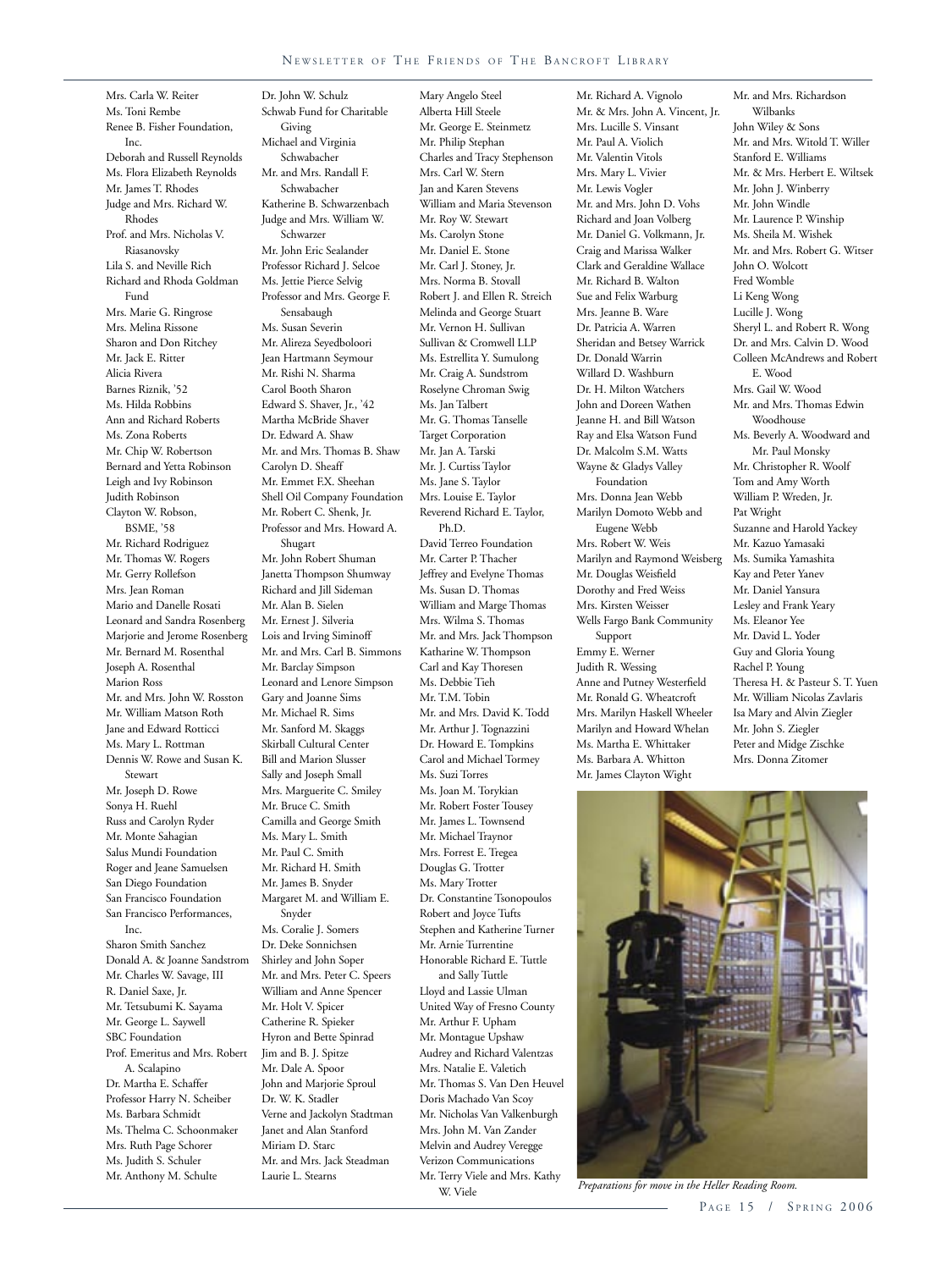#### NEWSLETTER OF THE FRIENDS OF THE BANCROFT LIBRARY

Mrs. Carla W. Reiter Ms. Toni Rembe Renee B. Fisher Foundation,  $Inc$ Deborah and Russell Reynolds Ms. Flora Elizabeth Reynolds Mr. James T. Rhodes Judge and Mrs. Richard W. Rhodes Prof. and Mrs. Nicholas V. Riasanovsky Lila S. and Neville Rich Richard and Rhoda Goldman Fund Mrs. Marie G. Ringrose Mrs. Melina Rissone Sharon and Don Ritchey Mr. Jack E. Ritter Alicia Rivera Barnes Riznik, '52 Ms. Hilda Robbins Ann and Richard Roberts Ms. Zona Roberts Mr. Chip W. Robertson Bernard and Yetta Robinson Leigh and Ivy Robinson Judith Robinson Clayton W. Robson, BSME, '58 Mr. Richard Rodriguez Mr. Thomas W. Rogers Mr. Gerry Rollefson Mrs. Jean Roman Mario and Danelle Rosati Leonard and Sandra Rosenberg Marjorie and Jerome Rosenberg Mr. Bernard M. Rosenthal Joseph A. Rosenthal Marion Ross Mr. and Mrs. John W. Rosston Mr. William Matson Roth Jane and Edward Rotticci Ms. Mary L. Rottman Dennis W. Rowe and Susan K. Stewart Mr. Joseph D. Rowe Sonya H. Ruehl Russ and Carolyn Ryder Mr. Monte Sahagian Salus Mundi Foundation Roger and Jeane Samuelsen San Diego Foundation San Francisco Foundation San Francisco Performances, Inc. Sharon Smith Sanchez Donald A. & Joanne Sandstrom Mr. Charles W. Savage, III R. Daniel Saxe, Jr. Mr. Tetsubumi K. Sayama Mr. George L. Saywell SBC Foundation Prof. Emeritus and Mrs. Robert A. Scalapino Dr. Martha E. Schaffer Professor Harry N. Scheiber Ms. Barbara Schmidt Ms. Thelma C. Schoonmaker Mrs. Ruth Page Schorer Ms. Judith S. Schuler

Mr. Anthony M. Schulte

Dr. John W. Schulz Schwab Fund for Charitable Giving Michael and Virginia Schwabacher Mr. and Mrs. Randall F. Schwabacher Katherine B. Schwarzenbach Judge and Mrs. William W. Schwarzer Mr. John Eric Sealander Professor Richard J. Selcoe Ms. Jettie Pierce Selvig Professor and Mrs. George F. Sensabaugh Ms. Susan Severin Mr. Alireza Seyedboloori Jean Hartmann Seymour Mr. Rishi N. Sharma Carol Booth Sharon Edward S. Shaver, Jr., '42 Martha McBride Shaver Dr. Edward A. Shaw Mr. and Mrs. Thomas B. Shaw Carolyn D. Sheaff Mr. Emmet F.X. Sheehan Shell Oil Company Foundation Mr. Robert C. Shenk, Jr. Professor and Mrs. Howard A. Shugart Mr. John Robert Shuman Janetta Thompson Shumway Richard and Jill Sideman Mr. Alan B. Sielen Mr. Ernest J. Silveria Lois and Irving Siminoff Mr. and Mrs. Carl B. Simmons Mr. Barclay Simpson Leonard and Lenore Simpson Gary and Joanne Sims Mr. Michael R. Sims Mr. Sanford M. Skaggs Skirball Cultural Center Bill and Marion Slusser Sally and Joseph Small Mrs. Marguerite C. Smiley Mr. Bruce C. Smith Camilla and George Smith Ms. Mary L. Smith Mr. Paul C. Smith Mr. Richard H. Smith Mr. James B. Snyder Margaret M. and William E. Snyder Ms. Coralie J. Somers Dr. Deke Sonnichsen Shirley and John Soper Mr. and Mrs. Peter C. Speers William and Anne Spencer Mr. Holt V. Spicer Catherine R. Spieker Hyron and Bette Spinrad Jim and B. J. Spitze Mr. Dale A. Spoor John and Marjorie Sproul Dr. W. K. Stadler Verne and Jackolyn Stadtman

Janet and Alan Stanford Miriam D. Starc

Laurie L. Stearns

Mr. and Mrs. Jack Steadman

Mary Angelo Steel Alberta Hill Steele Mr. George E. Steinmetz Mr. Philip Stephan Charles and Tracy Stephenson Mrs. Carl W. Stern Jan and Karen Stevens William and Maria Stevenson Mr. Roy W. Stewart Ms. Carolyn Stone Mr. Daniel E. Stone Mr. Carl J. Stoney, Jr. Mrs. Norma B. Stovall Robert J. and Ellen R. Streich Melinda and George Stuart Mr. Vernon H. Sullivan Sullivan & Cromwell LLP Ms. Estrellita Y. Sumulong Mr. Craig A. Sundstrom Roselyne Chroman Swig Ms. Jan Talbert Mr. G. Thomas Tanselle Target Corporation Mr. Jan A. Tarski Mr. J. Curtiss Taylor Ms. Jane S. Taylor Mrs. Louise E. Taylor Reverend Richard E. Taylor, Ph.D. David Terreo Foundation Mr. Carter P. Thacher Jeffrey and Evelyne Thomas Ms. Susan D. Thomas William and Marge Thomas Mrs. Wilma S. Thomas Mr. and Mrs. Jack Thompson Katharine W. Thompson Carl and Kay Thoresen Ms. Debbie Tieh Mr. T.M. Tobin Mr. and Mrs. David K. Todd Mr. Arthur J. Tognazzini Dr. Howard E. Tompkins Carol and Michael Tormey Ms. Suzi Torres Ms. Joan M. Torykian Mr. Robert Foster Tousey Mr. James L. Townsend Mr. Michael Traynor Mrs. Forrest E. Tregea Douglas G. Trotter Ms. Mary Trotter Dr. Constantine Tsonopoulos Robert and Joyce Tufts Stephen and Katherine Turner Mr. Arnie Turrentine Honorable Richard E. Tuttle and Sally Tuttle Lloyd and Lassie Ulman United Way of Fresno County Mr. Arthur F. Upham Mr. Montague Upshaw Audrey and Richard Valentzas Mrs. Natalie E. Valetich Mr. Thomas S. Van Den Heuvel Doris Machado Van Scoy Mr. Nicholas Van Valkenburgh Mrs. John M. Van Zander Melvin and Audrey Veregge Verizon Communications Mr. Terry Viele and Mrs. Kathy

W. Viele

Mr. & Mrs. John A. Vincent, Jr. Mrs. Lucille S. Vinsant Mr. Paul A. Violich Mr. Valentin Vitols Mrs. Mary L. Vivier Mr. Lewis Vogler Mr. and Mrs. John D. Vohs Richard and Joan Volberg Mr. Daniel G. Volkmann, Jr. Craig and Marissa Walker Clark and Geraldine Wallace Mr. Richard B. Walton Sue and Felix Warburg Mrs. Jeanne B. Ware Dr. Patricia A. Warren Sheridan and Betsey Warrick Dr. Donald Warrin Willard D. Washburn Dr. H. Milton Watchers John and Doreen Wathen Jeanne H. and Bill Watson Ray and Elsa Watson Fund Dr. Malcolm S.M. Watts Wayne & Gladys Valley Foundation Mrs. Donna Jean Webb Marilyn Domoto Webb and Eugene Webb Mrs. Robert W. Weis Marilyn and Raymond Weisberg Mr. Douglas Weisfield Dorothy and Fred Weiss Mrs. Kirsten Weisser Wells Fargo Bank Community Support Emmy E. Werner Judith R. Wessing Anne and Putney Westerfield

Mr. Richard A. Vignolo

Mr. Ronald G. Wheatcroft Mrs. Marilyn Haskell Wheeler Marilyn and Howard Whelan Ms. Martha E. Whittaker Ms. Barbara A. Whitton Mr. James Clayton Wight

Mr. and Mrs. Richardson Wilbanks John Wiley & Sons Mr. and Mrs. Witold T. Willer Stanford E. Williams Mr. & Mrs. Herbert E. Wiltsek Mr. John J. Winberry Mr. John Windle Mr. Laurence P. Winship Ms. Sheila M. Wishek Mr. and Mrs. Robert G. Witser John O. Wolcott Fred Womble Li Keng Wong Lucille J. Wong Sheryl L. and Robert R. Wong Dr. and Mrs. Calvin D. Wood Colleen McAndrews and Robert E. Wood Mrs. Gail W. Wood Mr. and Mrs. Thomas Edwin Woodhouse Ms. Beverly A. Woodward and Mr. Paul Monsky Mr. Christopher R. Woolf Tom and Amy Worth William P. Wreden, Jr. Pat Wright Suzanne and Harold Yackey Mr. Kazuo Yamasaki Ms. Sumika Yamashita Kay and Peter Yanev Mr. Daniel Yansura Lesley and Frank Yeary Ms. Eleanor Yee Mr. David L. Yoder Guy and Gloria Young Rachel P. Young Theresa H. & Pasteur S. T. Yuen Mr. William Nicolas Zavlaris Isa Mary and Alvin Ziegler Mr. John S. Ziegler Peter and Midge Zischke Mrs. Donna Zitomer



*Preparations for move in the Heller Reading Room.*

#### PAGE 15 / SPRING 2006